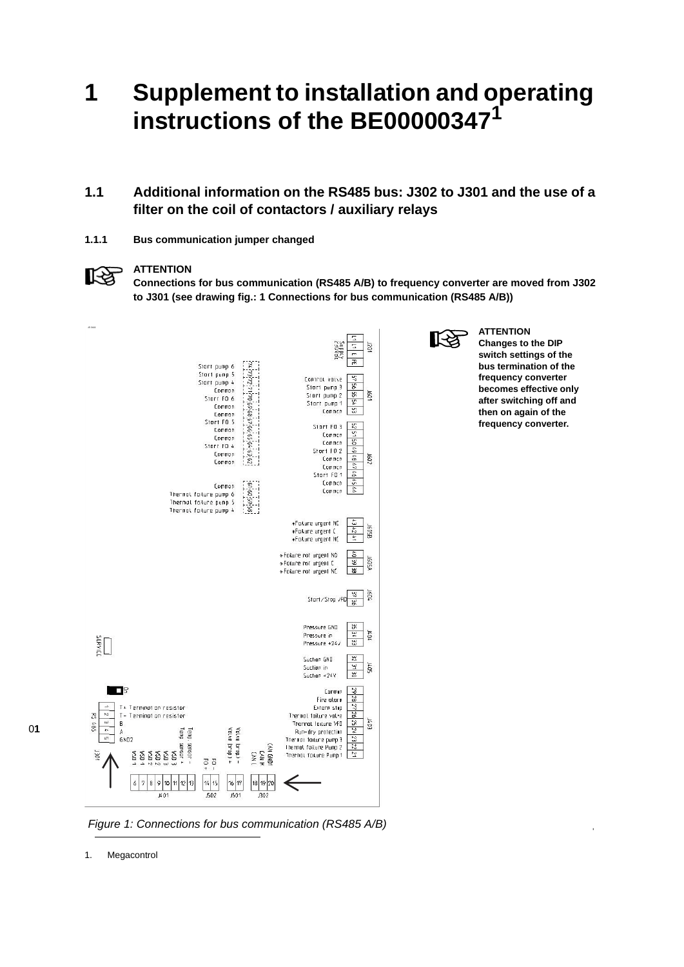## **1 Supplement to installation and operating instructions of the BE00000347<sup>1</sup>**

## **1.1 Additional information on the RS485 bus: J302 to J301 and the use of a filter on the coil of contactors / auxiliary relays**

**1.1.1 Bus communication jumper changed**

#### **ATTENTION**

‼स्क्र

**Connections for bus communication (RS485 A/B) to frequency converter are moved from J302 to J301 (see drawing fig.: 1 Connections for bus communication (RS485 A/B))**



⊮≵

**Changes to the DIP switch settings of the bus termination of the frequency converter becomes effective only after switching off and then on again of the frequency converter.**

**ATTENTION**

0**1**



1. Megacontrol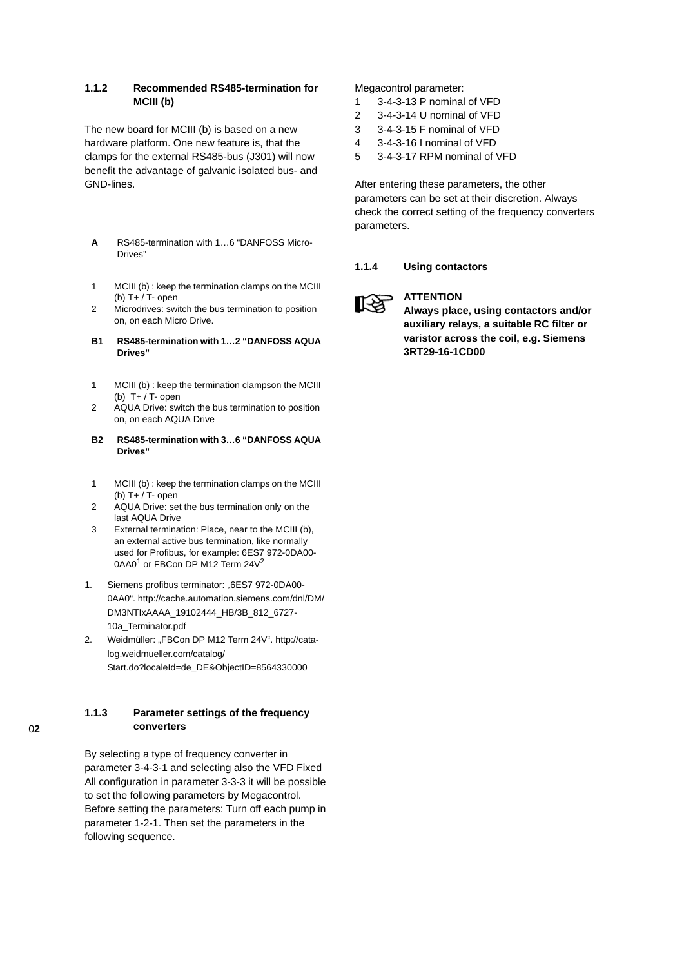#### **1.1.2 Recommended RS485-termination for MCIII (b)**

The new board for MCIII (b) is based on a new hardware platform. One new feature is, that the clamps for the external RS485-bus (J301) will now benefit the advantage of galvanic isolated bus- and GND-lines.

- **A** RS485-termination with 1…6 "DANFOSS Micro-Drives"
- 1 MCIII (b) : keep the termination clamps on the MCIII (b) T+ / T- open
- 2 Microdrives: switch the bus termination to position on, on each Micro Drive.
- **B1 RS485-termination with 1…2 "DANFOSS AQUA Drives"**
- 1 MCIII (b) : keep the termination clampson the MCIII (b) T+ / T- open
- 2 AQUA Drive: switch the bus termination to position on, on each AQUA Drive
- **B2 RS485-termination with 3…6 "DANFOSS AQUA Drives"**
- 1 MCIII (b) : keep the termination clamps on the MCIII (b) T+ / T- open
- 2 AQUA Drive: set the bus termination only on the last AQUA Drive
- 3 External termination: Place, near to the MCIII (b), an external active bus termination, like normally used for Profibus, for example: 6ES7 972-0DA00- 0AA0<sup>1</sup> or FBCon DP M12 Term 24V<sup>2</sup>
- 1. Siemens profibus terminator: "6ES7 972-0DA00-0AA0". http://cache.automation.siemens.com/dnl/DM/ DM3NTIxAAAA\_19102444\_HB/3B\_812\_6727- 10a\_Terminator.pdf
- 2. Weidmüller: "FBCon DP M12 Term 24V". http://catalog.weidmueller.com/catalog/ Start.do?localeId=de\_DE&ObjectID=8564330000

#### **1.1.3 Parameter settings of the frequency converters**

By selecting a type of frequency converter in parameter 3-4-3-1 and selecting also the VFD Fixed All configuration in parameter 3-3-3 it will be possible to set the following parameters by Megacontrol. Before setting the parameters: Turn off each pump in parameter 1-2-1. Then set the parameters in the following sequence.

Megacontrol parameter:

- 1 3-4-3-13 P nominal of VFD
- 2 3-4-3-14 U nominal of VFD
- 3 3-4-3-15 F nominal of VFD
- 4 3-4-3-16 I nominal of VFD
- 5 3-4-3-17 RPM nominal of VFD

After entering these parameters, the other parameters can be set at their discretion. Always check the correct setting of the frequency converters parameters.

#### **1.1.4 Using contactors**



### **ATTENTION**

**Always place, using contactors and/or auxiliary relays, a suitable RC filter or varistor across the coil, e.g. Siemens 3RT29-16-1CD00**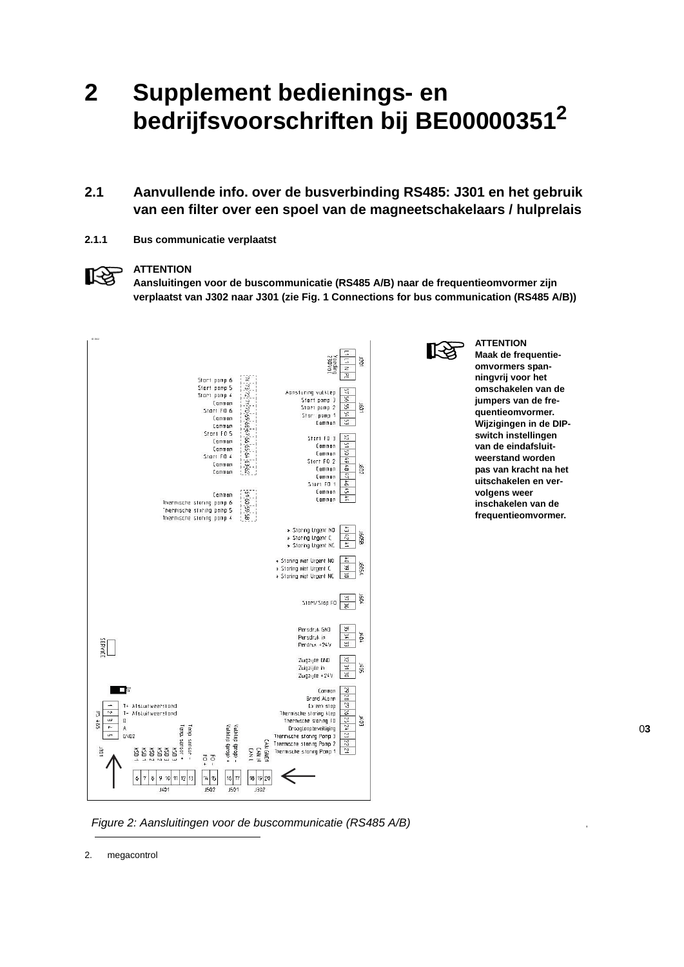## **2 Supplement bedienings- en bedrijfsvoorschriften bij BE000003512**

## **2.1 Aanvullende info. over de busverbinding RS485: J301 en het gebruik van een filter over een spoel van de magneetschakelaars / hulprelais**

**2.1.1 Bus communicatie verplaatst**

#### **ATTENTION**

‼िश्व

**Aansluitingen voor de buscommunicatie (RS485 A/B) naar de frequentieomvormer zijn verplaatst van J302 naar J301 (zie Fig. 1 Connections for bus communication (RS485 A/B))**





**Maak de frequentieomvormers spanningvrij voor het omschakelen van de jumpers van de frequentieomvormer. Wijzigingen in de DIPswitch instellingen van de eindafsluitweerstand worden pas van kracht na het uitschakelen en vervolgens weer inschakelen van de frequentieomvormer.**

**ATTENTION**

0**3**

*Figure 2: Aansluitingen voor de buscommunicatie (RS485 A/B)*

2. megacontrol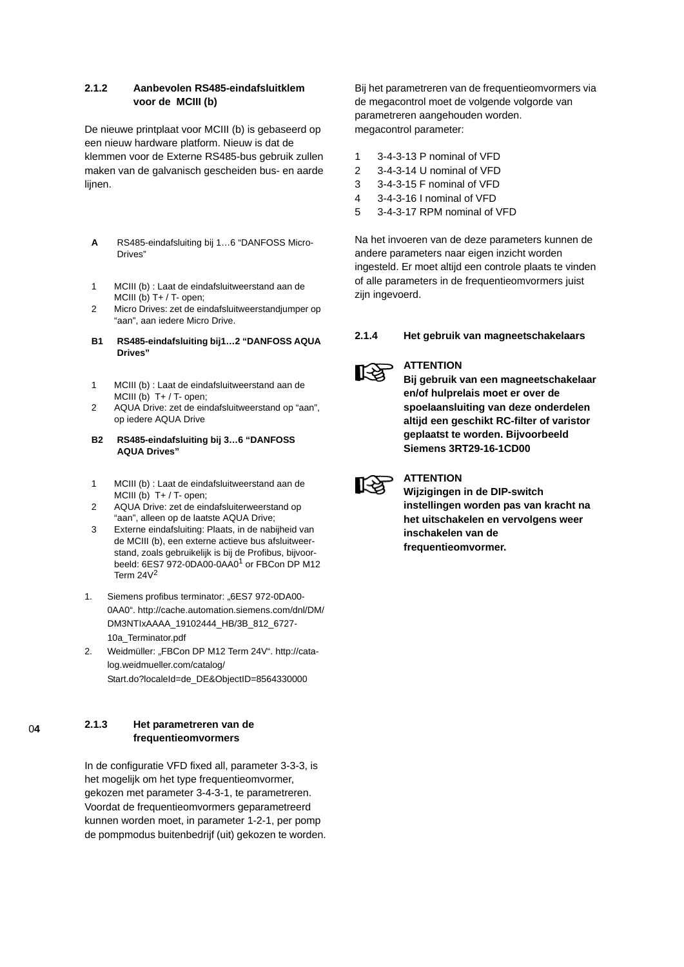#### **2.1.2 Aanbevolen RS485-eindafsluitklem voor de MCIII (b)**

De nieuwe printplaat voor MCIII (b) is gebaseerd op een nieuw hardware platform. Nieuw is dat de klemmen voor de Externe RS485-bus gebruik zullen maken van de galvanisch gescheiden bus- en aarde lijnen.

- **A** RS485-eindafsluiting bij 1…6 "DANFOSS Micro-Drives"
- 1 MCIII (b) : Laat de eindafsluitweerstand aan de MCIII (b) T+ / T- open;
- 2 Micro Drives: zet de eindafsluitweerstandjumper op "aan", aan iedere Micro Drive.
- **B1 RS485-eindafsluiting bij1…2 "DANFOSS AQUA Drives"**
- 1 MCIII (b) : Laat de eindafsluitweerstand aan de MCIII (b)  $T+ / T$ - open;
- 2 AQUA Drive: zet de eindafsluitweerstand op "aan", op iedere AQUA Drive
- **B2 RS485-eindafsluiting bij 3…6 "DANFOSS AQUA Drives"**
- 1 MCIII (b) : Laat de eindafsluitweerstand aan de MCIII (b) T+ / T- open;
- 2 AQUA Drive: zet de eindafsluiterweerstand op "aan", alleen op de laatste AQUA Drive;
- 3 Externe eindafsluiting: Plaats, in de nabijheid van de MCIII (b), een externe actieve bus afsluitweerstand, zoals gebruikelijk is bij de Profibus, bijvoorbeeld: 6ES7 972-0DA00-0AA0<sup>1</sup> or FBCon DP M12 Term  $24V<sup>2</sup>$
- 1. Siemens profibus terminator: "6ES7 972-0DA00-0AA0". http://cache.automation.siemens.com/dnl/DM/ DM3NTIxAAAA\_19102444\_HB/3B\_812\_6727- 10a\_Terminator.pdf
- 2. Weidmüller: "FBCon DP M12 Term 24V". http://catalog.weidmueller.com/catalog/ Start.do?localeId=de\_DE&ObjectID=8564330000

#### **2.1.3 Het parametreren van de frequentieomvormers**

In de configuratie VFD fixed all, parameter 3-3-3, is het mogelijk om het type frequentieomvormer, gekozen met parameter 3-4-3-1, te parametreren. Voordat de frequentieomvormers geparametreerd kunnen worden moet, in parameter 1-2-1, per pomp de pompmodus buitenbedrijf (uit) gekozen te worden. Bij het parametreren van de frequentieomvormers via de megacontrol moet de volgende volgorde van parametreren aangehouden worden. megacontrol parameter:

- 1 3-4-3-13 P nominal of VFD
- 2 3-4-3-14 U nominal of VFD
- 3 3-4-3-15 F nominal of VFD
- 4 3-4-3-16 I nominal of VFD
- 5 3-4-3-17 RPM nominal of VFD

Na het invoeren van de deze parameters kunnen de andere parameters naar eigen inzicht worden ingesteld. Er moet altijd een controle plaats te vinden of alle parameters in de frequentieomvormers juist zijn ingevoerd.

#### **2.1.4 Het gebruik van magneetschakelaars**



#### **ATTENTION**

**Bij gebruik van een magneetschakelaar en/of hulprelais moet er over de spoelaansluiting van deze onderdelen altijd een geschikt RC-filter of varistor geplaatst te worden. Bijvoorbeeld Siemens 3RT29-16-1CD00**



### **ATTENTION**

**Wijzigingen in de DIP-switch instellingen worden pas van kracht na het uitschakelen en vervolgens weer inschakelen van de frequentieomvormer.**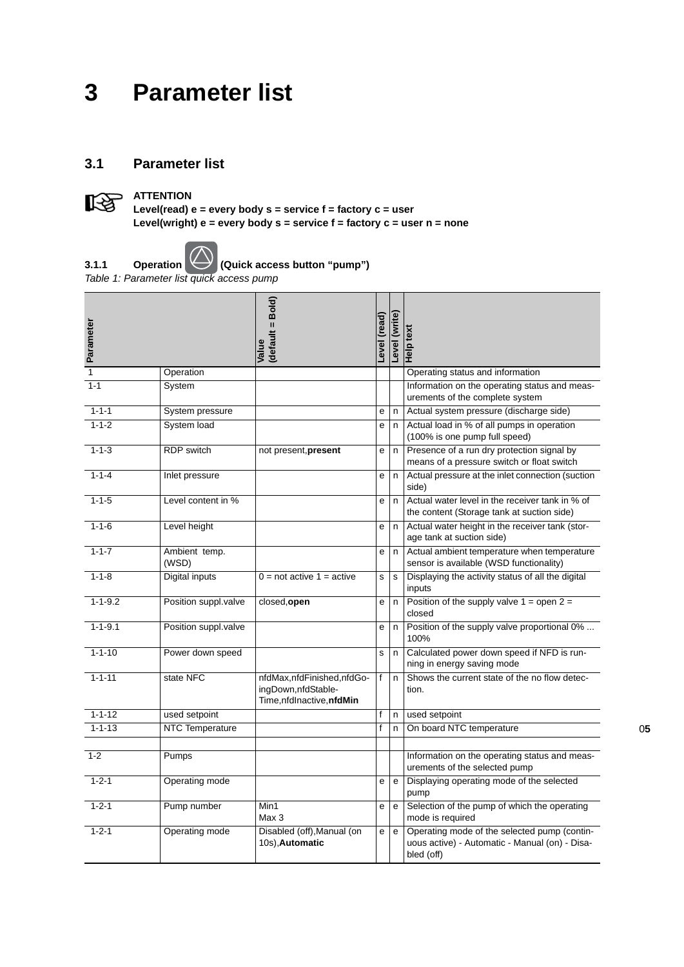# **3 Parameter list**

## **3.1 Parameter list**



**Level(read) e = every body s = service f = factory c = user Level(wright) e = every body s = service f = factory c = user n = none**



**3.1.1** Operation **Quick access button "pump"**)

*Table 1: Parameter list quick access pump*

| Parameter      |                        | (default = Bold)<br>Value                                                     | (read)<br>Level | Level (write)                              | Help text                                                                                                    |
|----------------|------------------------|-------------------------------------------------------------------------------|-----------------|--------------------------------------------|--------------------------------------------------------------------------------------------------------------|
| $\overline{1}$ | Operation              |                                                                               |                 |                                            | Operating status and information                                                                             |
| $1 - 1$        | System                 |                                                                               |                 |                                            | Information on the operating status and meas-<br>urements of the complete system                             |
| $1 - 1 - 1$    | System pressure        |                                                                               | е               | n                                          | Actual system pressure (discharge side)                                                                      |
| $1 - 1 - 2$    | System load            |                                                                               | e               | n.                                         | Actual load in % of all pumps in operation<br>(100% is one pump full speed)                                  |
| $1 - 1 - 3$    | <b>RDP</b> switch      | not present, present                                                          | е               | n.                                         | Presence of a run dry protection signal by<br>means of a pressure switch or float switch                     |
| $1 - 1 - 4$    | Inlet pressure         |                                                                               | е               | n                                          | Actual pressure at the inlet connection (suction<br>side)                                                    |
| $1 - 1 - 5$    | Level content in %     |                                                                               | e               | n.                                         | Actual water level in the receiver tank in % of<br>the content (Storage tank at suction side)                |
| $1 - 1 - 6$    | Level height           |                                                                               | е               | n                                          | Actual water height in the receiver tank (stor-<br>age tank at suction side)                                 |
| $1 - 1 - 7$    | Ambient temp.<br>(WSD) |                                                                               | e               | n                                          | Actual ambient temperature when temperature<br>sensor is available (WSD functionality)                       |
| $1 - 1 - 8$    | Digital inputs         | $0 = not active 1 = active$                                                   | s               | s                                          | Displaying the activity status of all the digital<br>inputs                                                  |
| $1 - 1 - 9.2$  | Position suppl.valve   | closed, open                                                                  | е               | n                                          | Position of the supply valve $1 =$ open $2 =$<br>closed                                                      |
| $1 - 1 - 9.1$  | Position suppl.valve   |                                                                               | е               | n                                          | Position of the supply valve proportional 0%<br>100%                                                         |
| $1 - 1 - 10$   | Power down speed       |                                                                               | s               | n                                          | Calculated power down speed if NFD is run-<br>ning in energy saving mode                                     |
| $1 - 1 - 11$   | state NFC              | nfdMax,nfdFinished,nfdGo-<br>ingDown, nfdStable-<br>Time, nfdInactive, nfdMin | f               | n.                                         | Shows the current state of the no flow detec-<br>tion.                                                       |
| $1 - 1 - 12$   | used setpoint          |                                                                               | f               | n                                          | used setpoint                                                                                                |
| $1 - 1 - 13$   | <b>NTC Temperature</b> |                                                                               | f               | n                                          | On board NTC temperature                                                                                     |
|                |                        |                                                                               |                 |                                            |                                                                                                              |
| $1 - 2$        | Pumps                  |                                                                               |                 |                                            | Information on the operating status and meas-<br>urements of the selected pump                               |
| $1 - 2 - 1$    | Operating mode         |                                                                               | е               | e                                          | Displaying operating mode of the selected<br>pump                                                            |
| $1 - 2 - 1$    | Pump number            | $\overline{\text{Min}}$ 1<br>Max 3                                            | e               | e                                          | Selection of the pump of which the operating<br>mode is required                                             |
| $1 - 2 - 1$    | Operating mode         | Disabled (off), Manual (on<br>10s), Automatic                                 | e               | $\mathsf{e}% _{t}\left( \mathsf{e}\right)$ | Operating mode of the selected pump (contin-<br>uous active) - Automatic - Manual (on) - Disa-<br>bled (off) |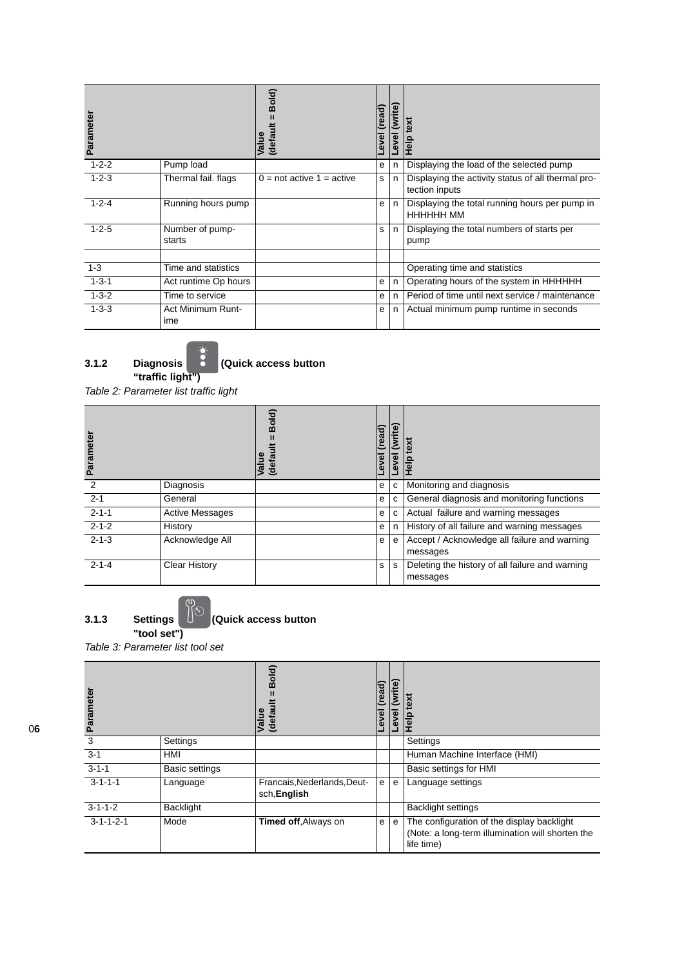| Parameter   |                                 | Bold)<br>(default<br>Value                  | read)<br>፪<br>٥ | (write)<br>Level | text<br><b>Help</b>                                                  |
|-------------|---------------------------------|---------------------------------------------|-----------------|------------------|----------------------------------------------------------------------|
| $1 - 2 - 2$ | Pump load                       |                                             | e               | n                | Displaying the load of the selected pump                             |
| $1 - 2 - 3$ | Thermal fail. flags             | $0 = \text{not}$ active $1 = \text{active}$ | s               | n.               | Displaying the activity status of all thermal pro-<br>tection inputs |
| $1 - 2 - 4$ | Running hours pump              |                                             | e               | n.               | Displaying the total running hours per pump in<br>НННННН ММ          |
| $1 - 2 - 5$ | Number of pump-<br>starts       |                                             | s               | n                | Displaying the total numbers of starts per<br>pump                   |
|             |                                 |                                             |                 |                  |                                                                      |
| $1 - 3$     | Time and statistics             |                                             |                 |                  | Operating time and statistics                                        |
| $1 - 3 - 1$ | Act runtime Op hours            |                                             | е               | n                | Operating hours of the system in HHHHHH                              |
| $1 - 3 - 2$ | Time to service                 |                                             | e               | n                | Period of time until next service / maintenance                      |
| $1 - 3 - 3$ | <b>Act Minimum Runt-</b><br>ime |                                             | е               | n                | Actual minimum pump runtime in seconds                               |



**3.1.2 Diagnosis (Quick access button** 

*Table 2: Parameter list traffic light*

| Paramete    |                        | Bold)<br>Value<br>(defa | read)<br>ত্<br>$\omega$ | ite<br>$\overline{\mathbf{v}}$<br>g<br>؋ | ext<br>≗<br>우                                               |
|-------------|------------------------|-------------------------|-------------------------|------------------------------------------|-------------------------------------------------------------|
| 2           | Diagnosis              |                         | e                       | C                                        | Monitoring and diagnosis                                    |
| $2 - 1$     | General                |                         | е                       | C                                        | General diagnosis and monitoring functions                  |
| $2 - 1 - 1$ | <b>Active Messages</b> |                         | e                       | C                                        | Actual failure and warning messages                         |
| $2 - 1 - 2$ | History                |                         | e                       | n                                        | History of all failure and warning messages                 |
| $2 - 1 - 3$ | Acknowledge All        |                         | е                       | e                                        | Accept / Acknowledge all failure and warning<br>messages    |
| $2 - 1 - 4$ | <b>Clear History</b>   |                         | s                       | s                                        | Deleting the history of all failure and warning<br>messages |

**3.1.3** Settings  $\overline{)}$  (Quick access button **"tool set")**

*Table 3: Parameter list tool set*

| ramete<br>ಸ         |                       | Bold)<br>Value<br>(defau                    | (read)<br>Level | (write)<br>Level | text<br><b>Help</b>                                                                                          |
|---------------------|-----------------------|---------------------------------------------|-----------------|------------------|--------------------------------------------------------------------------------------------------------------|
| 3                   | Settings              |                                             |                 |                  | Settings                                                                                                     |
| $3 - 1$             | HMI                   |                                             |                 |                  | Human Machine Interface (HMI)                                                                                |
| $3 - 1 - 1$         | <b>Basic settings</b> |                                             |                 |                  | Basic settings for HMI                                                                                       |
| $3 - 1 - 1 - 1$     | Language              | Francais, Nederlands, Deut-<br>sch, English | $\mathsf{e}$    | e                | Language settings                                                                                            |
| $3 - 1 - 1 - 2$     | <b>Backlight</b>      |                                             |                 |                  | <b>Backlight settings</b>                                                                                    |
| $3 - 1 - 1 - 2 - 1$ | Mode                  | Timed off, Always on                        | e               | e                | The configuration of the display backlight<br>(Note: a long-term illumination will shorten the<br>life time) |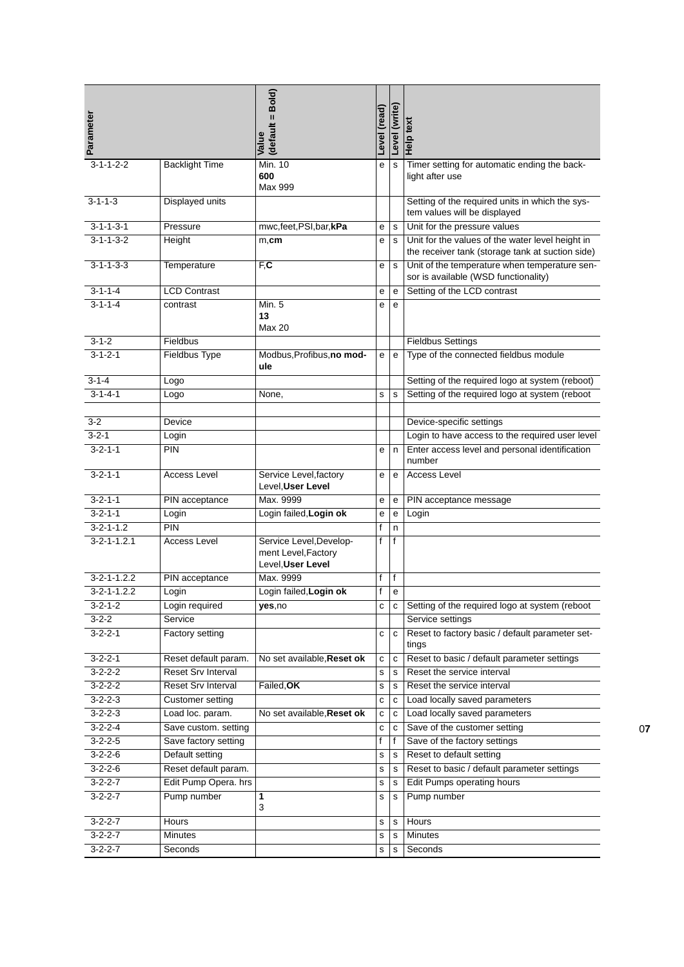| Parameter           |                           | (default = Bold)<br>Value                                           | Level (read) | Level (write) | Help text                                                                                            |
|---------------------|---------------------------|---------------------------------------------------------------------|--------------|---------------|------------------------------------------------------------------------------------------------------|
| $3 - 1 - 1 - 2 - 2$ | <b>Backlight Time</b>     | <b>Min. 10</b><br>600<br>Max 999                                    | е            | $\mathbf s$   | Timer setting for automatic ending the back-<br>light after use                                      |
| $3 - 1 - 1 - 3$     | Displayed units           |                                                                     |              |               | Setting of the required units in which the sys-<br>tem values will be displayed                      |
| $3 - 1 - 1 - 3 - 1$ | Pressure                  | mwc,feet,PSI,bar,kPa                                                | е            | s             | Unit for the pressure values                                                                         |
| $3 - 1 - 1 - 3 - 2$ | Height                    | $m,$ cm                                                             | е            | s             | Unit for the values of the water level height in<br>the receiver tank (storage tank at suction side) |
| $3 - 1 - 1 - 3 - 3$ | Temperature               | $F_{c}$                                                             | е            | $\mathbf s$   | Unit of the temperature when temperature sen-<br>sor is available (WSD functionality)                |
| $3 - 1 - 1 - 4$     | <b>LCD Contrast</b>       |                                                                     | е            | e             | Setting of the LCD contrast                                                                          |
| $3 - 1 - 1 - 4$     | contrast                  | Min. 5<br>13<br>Max 20                                              | е            | e             |                                                                                                      |
| $3 - 1 - 2$         | Fieldbus                  |                                                                     |              |               | <b>Fieldbus Settings</b>                                                                             |
| $3 - 1 - 2 - 1$     | <b>Fieldbus Type</b>      | Modbus, Profibus, no mod-<br>ule                                    | е            | $\mathbf e$   | Type of the connected fieldbus module                                                                |
| $3 - 1 - 4$         | Logo                      |                                                                     |              |               | Setting of the required logo at system (reboot)                                                      |
| $3 - 1 - 4 - 1$     | Logo                      | None,                                                               | s            | s             | Setting of the required logo at system (reboot                                                       |
| $3 - 2$             | Device                    |                                                                     |              |               | Device-specific settings                                                                             |
| $3 - 2 - 1$         | Login                     |                                                                     |              |               | Login to have access to the required user level                                                      |
| $3 - 2 - 1 - 1$     | PIN                       |                                                                     | е            | n             | Enter access level and personal identification<br>number                                             |
| $3 - 2 - 1 - 1$     | <b>Access Level</b>       | Service Level, factory<br>Level, User Level                         | е            | e             | <b>Access Level</b>                                                                                  |
| $3 - 2 - 1 - 1$     | PIN acceptance            | Max. 9999                                                           | е            | e             | PIN acceptance message                                                                               |
| $3 - 2 - 1 - 1$     | Login                     | Login failed, Login ok                                              | е            | e             | Login                                                                                                |
| $3 - 2 - 1 - 1.2$   | <b>PIN</b>                |                                                                     | f            | n             |                                                                                                      |
| $3 - 2 - 1 - 1.2.1$ | <b>Access Level</b>       | Service Level, Develop-<br>ment Level, Factory<br>Level, User Level | $\mathsf{f}$ | $\mathsf{f}$  |                                                                                                      |
| $3 - 2 - 1 - 1.2.2$ | PIN acceptance            | Max. 9999                                                           | f            | $\mathsf{f}$  |                                                                                                      |
| $3 - 2 - 1 - 1.2.2$ | Login                     | Login failed, Login ok                                              | f            | е             |                                                                                                      |
| 3-2-1-2             | Login required            | yes,no                                                              | с            | c             | Setting of the required logo at system (reboot                                                       |
| $3 - 2 - 2$         | Service                   |                                                                     |              |               | Service settings                                                                                     |
| $3 - 2 - 2 - 1$     | Factory setting           |                                                                     | С            | с             | Reset to factory basic / default parameter set-<br>tings                                             |
| $3 - 2 - 2 - 1$     | Reset default param.      | No set available, Reset ok                                          | С            | с             | Reset to basic / default parameter settings                                                          |
| $3 - 2 - 2 - 2$     | <b>Reset Srv Interval</b> |                                                                     | s            | s             | Reset the service interval                                                                           |
| $3 - 2 - 2 - 2$     | <b>Reset Srv Interval</b> | Failed, OK                                                          | s            | s             | Reset the service interval                                                                           |
| $3 - 2 - 2 - 3$     | Customer setting          |                                                                     | С            | c             | Load locally saved parameters                                                                        |
| $3 - 2 - 2 - 3$     | Load loc. param.          | No set available, Reset ok                                          | С            | с             | Load locally saved parameters                                                                        |
| $3 - 2 - 2 - 4$     | Save custom. setting      |                                                                     | С            | c             | Save of the customer setting                                                                         |
| $3 - 2 - 2 - 5$     | Save factory setting      |                                                                     | f            | f             | Save of the factory settings                                                                         |
| $3 - 2 - 2 - 6$     | Default setting           |                                                                     | s            | s             | Reset to default setting                                                                             |
| $3 - 2 - 2 - 6$     | Reset default param.      |                                                                     | s            | s             | Reset to basic / default parameter settings                                                          |
| $3 - 2 - 2 - 7$     | Edit Pump Opera. hrs      |                                                                     | s            | s             | Edit Pumps operating hours                                                                           |
| $3 - 2 - 2 - 7$     | Pump number               | 1<br>3                                                              | s            | s             | Pump number                                                                                          |
| $3 - 2 - 2 - 7$     | Hours                     |                                                                     | s            | s             | Hours                                                                                                |
| $3 - 2 - 2 - 7$     | <b>Minutes</b>            |                                                                     | s            | s             | Minutes                                                                                              |
| $3 - 2 - 2 - 7$     | Seconds                   |                                                                     | s            | s             | Seconds                                                                                              |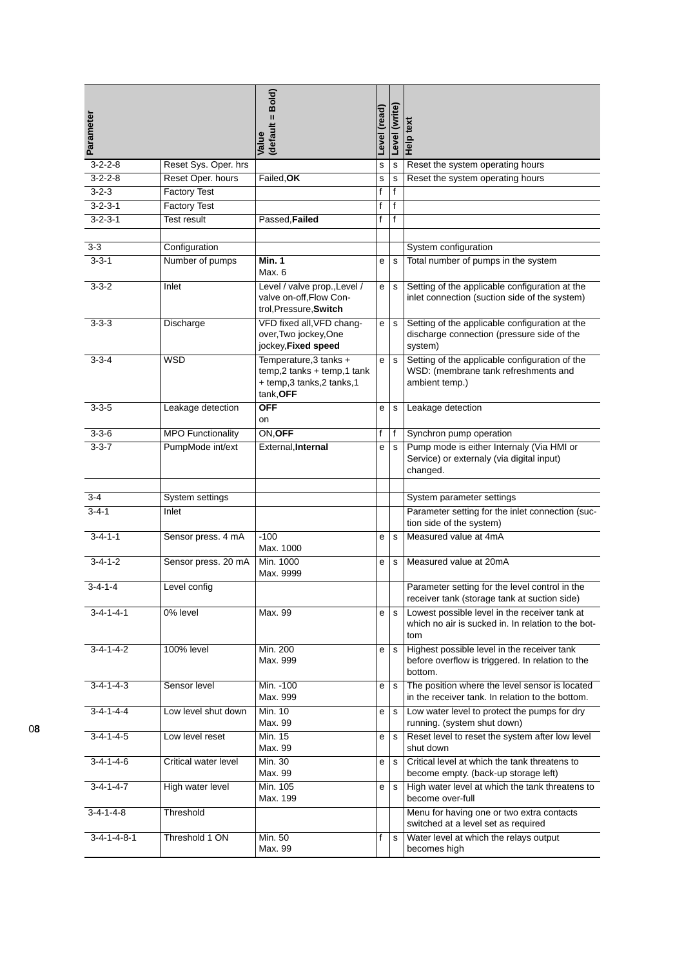| Parameter               |                          | (default = Bold)<br>Value                                                                         | Level (read) | Level (write) | Help text                                                                                                  |
|-------------------------|--------------------------|---------------------------------------------------------------------------------------------------|--------------|---------------|------------------------------------------------------------------------------------------------------------|
| $3 - 2 - 2 - 8$         | Reset Sys. Oper. hrs     |                                                                                                   | s            | $\mathbf s$   | Reset the system operating hours                                                                           |
| $3 - 2 - 2 - 8$         | Reset Oper. hours        | Failed, OK                                                                                        | s            | $\mathbf s$   | Reset the system operating hours                                                                           |
| $3 - 2 - 3$             | <b>Factory Test</b>      |                                                                                                   | $\mathsf{f}$ | f             |                                                                                                            |
| $3 - 2 - 3 - 1$         | <b>Factory Test</b>      |                                                                                                   | $\mathsf{f}$ | $\mathsf{f}$  |                                                                                                            |
| $3 - 2 - 3 - 1$         | Test result              | Passed, Failed                                                                                    | f            | $\mathsf{f}$  |                                                                                                            |
|                         |                          |                                                                                                   |              |               |                                                                                                            |
| $3-3$                   | Configuration            |                                                                                                   |              |               | System configuration                                                                                       |
| $3 - 3 - 1$             | Number of pumps          | Min. 1<br>Max. 6                                                                                  | е            | $\mathbf s$   | Total number of pumps in the system                                                                        |
| $3 - 3 - 2$             | Inlet                    | Level / valve prop., Level /<br>valve on-off, Flow Con-<br>trol, Pressure, Switch                 | e            | $\mathbf S$   | Setting of the applicable configuration at the<br>inlet connection (suction side of the system)            |
| $3 - 3 - 3$             | Discharge                | VFD fixed all, VFD chang-<br>over, Two jockey, One<br>jockey, Fixed speed                         | e            | $\mathbf s$   | Setting of the applicable configuration at the<br>discharge connection (pressure side of the<br>system)    |
| $3 - 3 - 4$             | <b>WSD</b>               | Temperature, 3 tanks +<br>$temp, 2$ tanks + temp, 1 tank<br>+ temp,3 tanks,2 tanks,1<br>tank, OFF | e            | $\mathbf s$   | Setting of the applicable configuration of the<br>WSD: (membrane tank refreshments and<br>ambient temp.)   |
| $3 - 3 - 5$             | Leakage detection        | <b>OFF</b><br>on                                                                                  | e            | $\mathbf s$   | Leakage detection                                                                                          |
| $3 - 3 - 6$             | <b>MPO Functionality</b> | ON, OFF                                                                                           | f            | f             | Synchron pump operation                                                                                    |
| $3 - 3 - 7$             | PumpMode int/ext         | External, Internal                                                                                | е            | $\mathbf s$   | Pump mode is either Internaly (Via HMI or<br>Service) or externaly (via digital input)<br>changed.         |
|                         |                          |                                                                                                   |              |               |                                                                                                            |
| $3 - 4$<br>$3 - 4 - 1$  | System settings          |                                                                                                   |              |               | System parameter settings                                                                                  |
|                         | Inlet                    |                                                                                                   |              |               | Parameter setting for the inlet connection (suc-<br>tion side of the system)                               |
| $3 - 4 - 1 - 1$         | Sensor press. 4 mA       | $-100$<br>Max. 1000                                                                               | е            | $\mathbf s$   | Measured value at 4mA                                                                                      |
| $3 - 4 - 1 - 2$         | Sensor press. 20 mA      | Min. 1000<br>Max. 9999                                                                            | е            | s             | Measured value at 20mA                                                                                     |
| $3 - 4 - 1 - 4$         | Level config             |                                                                                                   |              |               | Parameter setting for the level control in the<br>receiver tank (storage tank at suction side)             |
| $3 - 4 - 1 - 4 - 1$     | 0% level                 | Max. 99                                                                                           | е            | s             | Lowest possible level in the receiver tank at<br>which no air is sucked in. In relation to the bot-<br>tom |
| $3-4-1-4-2$             | <b>100% level</b>        | Min. 200<br>Max. 999                                                                              | е            | $\mathbf s$   | Highest possible level in the receiver tank<br>before overflow is triggered. In relation to the<br>bottom. |
| $3 - 4 - 1 - 4 - 3$     | Sensor level             | Min. - 100<br>Max. 999                                                                            | e            | $\mathbf s$   | The position where the level sensor is located<br>in the receiver tank. In relation to the bottom.         |
| $3-4-1-4-4$             | Low level shut down      | <b>Min. 10</b><br>Max. 99                                                                         | е            | $\mathbf s$   | Low water level to protect the pumps for dry<br>running. (system shut down)                                |
| $3-4-1-4-5$             | Low level reset          | Min. 15<br>Max. 99                                                                                | е            | s             | Reset level to reset the system after low level<br>shut down                                               |
| $3 - 4 - 1 - 4 - 6$     | Critical water level     | Min. 30<br>Max. 99                                                                                | е            | s             | Critical level at which the tank threatens to<br>become empty. (back-up storage left)                      |
| $3-4-1-4-7$             | High water level         | Min. 105<br>Max. 199                                                                              | е            | $\mathbf s$   | High water level at which the tank threatens to<br>become over-full                                        |
| $3-4-1-4-8$             | Threshold                |                                                                                                   |              |               | Menu for having one or two extra contacts<br>switched at a level set as required                           |
| $3 - 4 - 1 - 4 - 8 - 1$ | Threshold 1 ON           | Min. 50<br>Max. 99                                                                                | f            | $\mathbf s$   | Water level at which the relays output<br>becomes high                                                     |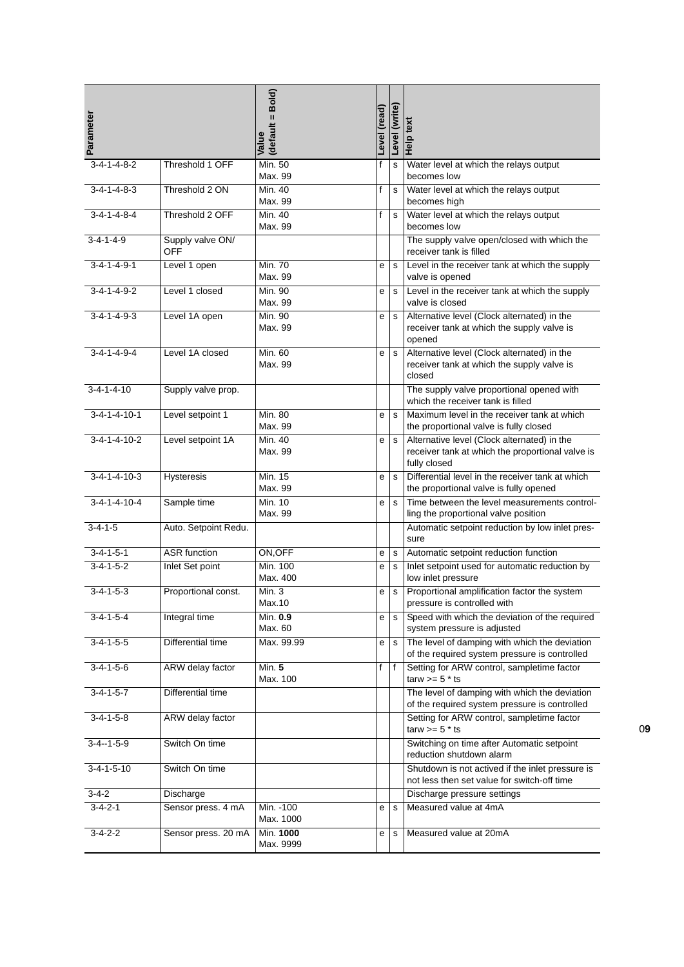| Parameter                |                         | (default = Bold)<br>Value | Level (read) | Level (write) | Help text                                                                                                       |
|--------------------------|-------------------------|---------------------------|--------------|---------------|-----------------------------------------------------------------------------------------------------------------|
| $3 - 4 - 1 - 4 - 8 - 2$  | Threshold 1 OFF         | Min. 50<br>Max. 99        | f            | $\mathbf s$   | Water level at which the relays output<br>becomes low                                                           |
| $3 - 4 - 1 - 4 - 8 - 3$  | Threshold 2 ON          | Min. 40<br>Max. 99        | f            | $\mathbf s$   | Water level at which the relays output<br>becomes high                                                          |
| $3 - 4 - 1 - 4 - 8 - 4$  | Threshold 2 OFF         | Min. 40<br>Max. 99        | f            | s             | Water level at which the relays output<br>becomes low                                                           |
| $3-4-1-4-9$              | Supply valve ON/<br>OFF |                           |              |               | The supply valve open/closed with which the<br>receiver tank is filled                                          |
| $3 - 4 - 1 - 4 - 9 - 1$  | Level 1 open            | <b>Min. 70</b><br>Max. 99 | е            | $\mathbf s$   | Level in the receiver tank at which the supply<br>valve is opened                                               |
| $3 - 4 - 1 - 4 - 9 - 2$  | Level 1 closed          | Min. 90<br>Max. 99        | е            | s             | Level in the receiver tank at which the supply<br>valve is closed                                               |
| $3 - 4 - 1 - 4 - 9 - 3$  | Level 1A open           | Min. 90<br>Max. 99        | e            | $\mathbf s$   | Alternative level (Clock alternated) in the<br>receiver tank at which the supply valve is<br>opened             |
| $3 - 4 - 1 - 4 - 9 - 4$  | Level 1A closed         | Min. 60<br>Max. 99        | е            | $\mathbf s$   | Alternative level (Clock alternated) in the<br>receiver tank at which the supply valve is<br>closed             |
| $3-4-1-4-10$             | Supply valve prop.      |                           |              |               | The supply valve proportional opened with<br>which the receiver tank is filled                                  |
| $3 - 4 - 1 - 4 - 10 - 1$ | Level setpoint 1        | <b>Min. 80</b><br>Max. 99 | е            | $\mathbf s$   | Maximum level in the receiver tank at which<br>the proportional valve is fully closed                           |
| $3 - 4 - 1 - 4 - 10 - 2$ | Level setpoint 1A       | Min. 40<br>Max. 99        | е            | $\mathbf s$   | Alternative level (Clock alternated) in the<br>receiver tank at which the proportional valve is<br>fully closed |
| $3 - 4 - 1 - 4 - 10 - 3$ | <b>Hysteresis</b>       | Min. 15<br>Max. 99        | е            | $\mathbf s$   | Differential level in the receiver tank at which<br>the proportional valve is fully opened                      |
| $3-4-1-4-10-4$           | Sample time             | Min. 10<br>Max. 99        | е            | s             | Time between the level measurements control-<br>ling the proportional valve position                            |
| $3 - 4 - 1 - 5$          | Auto. Setpoint Redu.    |                           |              |               | Automatic setpoint reduction by low inlet pres-<br>sure                                                         |
| $3 - 4 - 1 - 5 - 1$      | <b>ASR</b> function     | ON, OFF                   | e            | s             | Automatic setpoint reduction function                                                                           |
| $3-4-1-5-2$              | Inlet Set point         | Min. 100<br>Max. 400      | е            | s             | Inlet setpoint used for automatic reduction by<br>low inlet pressure                                            |
| $3 - 4 - 1 - 5 - 3$      | Proportional const.     | Min. 3<br>Max.10          | е            | s             | Proportional amplification factor the system<br>pressure is controlled with                                     |
| $3 - 4 - 1 - 5 - 4$      | Integral time           | Min. 0.9<br>Max. 60       | е            | s             | Speed with which the deviation of the required<br>system pressure is adjusted                                   |
| $3-4-1-5-5$              | Differential time       | Max. 99.99                | е            | $\mathbf s$   | The level of damping with which the deviation<br>of the required system pressure is controlled                  |
| $3 - 4 - 1 - 5 - 6$      | ARW delay factor        | Min. 5<br>Max. 100        | f            | l f           | Setting for ARW control, sampletime factor<br>tarw $>= 5$ * ts                                                  |
| $3 - 4 - 1 - 5 - 7$      | Differential time       |                           |              |               | The level of damping with which the deviation<br>of the required system pressure is controlled                  |
| $3 - 4 - 1 - 5 - 8$      | ARW delay factor        |                           |              |               | Setting for ARW control, sampletime factor<br>tarw $>= 5$ * ts                                                  |
| $3-4-1-5-9$              | Switch On time          |                           |              |               | Switching on time after Automatic setpoint<br>reduction shutdown alarm                                          |
| $3 - 4 - 1 - 5 - 10$     | Switch On time          |                           |              |               | Shutdown is not actived if the inlet pressure is<br>not less then set value for switch-off time                 |
| $3-4-2$                  | Discharge               |                           |              |               | Discharge pressure settings                                                                                     |
| $3-4-2-1$                | Sensor press. 4 mA      | Min. - 100<br>Max. 1000   | e            | $\mathbf s$   | Measured value at 4mA                                                                                           |
| $3 - 4 - 2 - 2$          | Sensor press. 20 mA     | Min. 1000<br>Max. 9999    | е            | s             | Measured value at 20mA                                                                                          |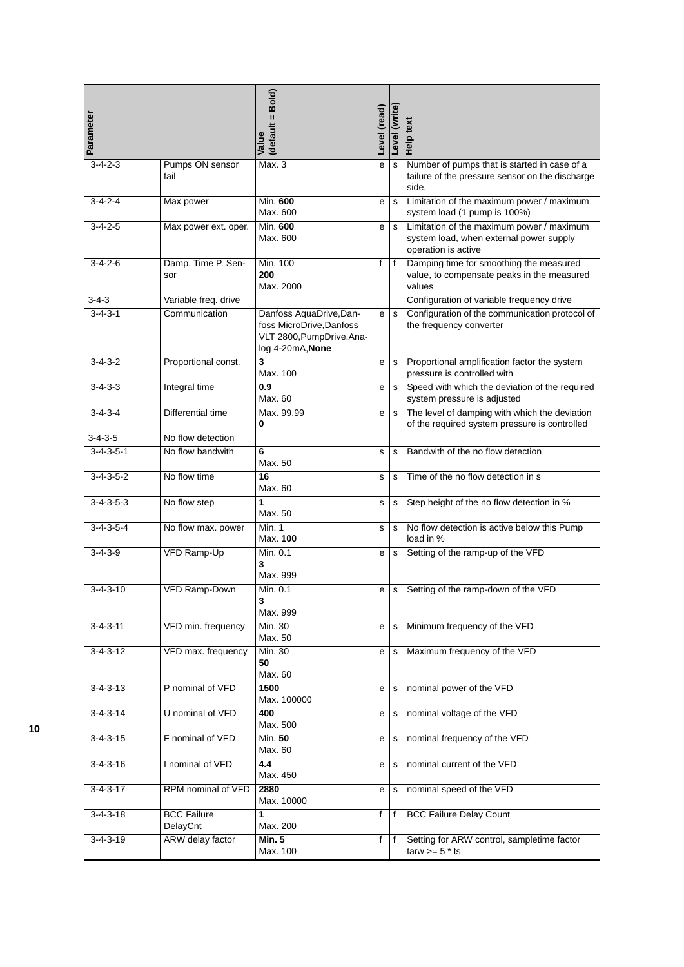| Parameter           |                                | (default = Bold)<br>Value                                                                            | Level (read) | Level (write) | Help text                                                                                                   |
|---------------------|--------------------------------|------------------------------------------------------------------------------------------------------|--------------|---------------|-------------------------------------------------------------------------------------------------------------|
| $3 - 4 - 2 - 3$     | Pumps ON sensor<br>fail        | Max.3                                                                                                | е            | s             | Number of pumps that is started in case of a<br>failure of the pressure sensor on the discharge<br>side.    |
| $3 - 4 - 2 - 4$     | Max power                      | Min. 600<br>Max. 600                                                                                 | е            | s             | Limitation of the maximum power / maximum<br>system load (1 pump is 100%)                                   |
| $3 - 4 - 2 - 5$     | Max power ext. oper.           | Min. 600<br>Max. 600                                                                                 | e            | $\mathbf s$   | Limitation of the maximum power / maximum<br>system load, when external power supply<br>operation is active |
| $3 - 4 - 2 - 6$     | Damp. Time P. Sen-<br>sor      | Min. 100<br>200<br>Max. 2000                                                                         | f            | f             | Damping time for smoothing the measured<br>value, to compensate peaks in the measured<br>values             |
| $3 - 4 - 3$         | Variable freq. drive           |                                                                                                      |              |               | Configuration of variable frequency drive                                                                   |
| $3 - 4 - 3 - 1$     | Communication                  | Danfoss AquaDrive, Dan-<br>foss MicroDrive, Danfoss<br>VLT 2800, PumpDrive, Ana-<br>log 4-20mA, None | e            | s             | Configuration of the communication protocol of<br>the frequency converter                                   |
| $3 - 4 - 3 - 2$     | Proportional const.            | 3<br>Max. 100                                                                                        | e            | s             | Proportional amplification factor the system<br>pressure is controlled with                                 |
| $3 - 4 - 3 - 3$     | Integral time                  | 0.9<br>Max. 60                                                                                       | е            | s             | Speed with which the deviation of the required<br>system pressure is adjusted                               |
| $3 - 4 - 3 - 4$     | Differential time              | Max. 99.99<br>0                                                                                      | e            | $\mathbf s$   | The level of damping with which the deviation<br>of the required system pressure is controlled              |
| $3 - 4 - 3 - 5$     | No flow detection              |                                                                                                      |              |               |                                                                                                             |
| $3 - 4 - 3 - 5 - 1$ | No flow bandwith               | 6<br>Max. 50                                                                                         | s            | s             | Bandwith of the no flow detection                                                                           |
| $3 - 4 - 3 - 5 - 2$ | No flow time                   | 16<br>Max. 60                                                                                        | s            | s             | Time of the no flow detection in s                                                                          |
| $3 - 4 - 3 - 5 - 3$ | No flow step                   | 1<br>Max. 50                                                                                         | $\mathbf s$  | $\mathbf s$   | Step height of the no flow detection in %                                                                   |
| $3 - 4 - 3 - 5 - 4$ | No flow max. power             | Min. 1<br>Max. 100                                                                                   | s            | s             | No flow detection is active below this Pump<br>load in %                                                    |
| $3 - 4 - 3 - 9$     | <b>VFD Ramp-Up</b>             | Min. 0.1<br>3<br>Max. 999                                                                            | е            | s             | Setting of the ramp-up of the VFD                                                                           |
| $3 - 4 - 3 - 10$    | VFD Ramp-Down                  | Min. 0.1<br>3<br>Max. 999                                                                            | е            | s             | Setting of the ramp-down of the VFD                                                                         |
| $3 - 4 - 3 - 11$    | VFD min. frequency             | Min. 30<br>Max. 50                                                                                   | e            | s             | Minimum frequency of the VFD                                                                                |
| $3 - 4 - 3 - 12$    | VFD max. frequency             | Min. 30<br>50<br>Max. 60                                                                             | e            | s             | Maximum frequency of the VFD                                                                                |
| $3-4-3-13$          | P nominal of VFD               | 1500<br>Max. 100000                                                                                  | е            | s             | nominal power of the VFD                                                                                    |
| $3 - 4 - 3 - 14$    | U nominal of VFD               | 400<br>Max. 500                                                                                      | e            | s             | nominal voltage of the VFD                                                                                  |
| $3-4-3-15$          | F nominal of VFD               | Min. 50<br>Max. 60                                                                                   | е            | s             | nominal frequency of the VFD                                                                                |
| $3 - 4 - 3 - 16$    | I nominal of VFD               | 4.4<br>Max. 450                                                                                      | е            | s             | nominal current of the VFD                                                                                  |
| $3 - 4 - 3 - 17$    | RPM nominal of VFD             | 2880<br>Max. 10000                                                                                   | e            | $\mathbf s$   | nominal speed of the VFD                                                                                    |
| $3 - 4 - 3 - 18$    | <b>BCC Failure</b><br>DelayCnt | 1<br>Max. 200                                                                                        | f            | f             | <b>BCC Failure Delay Count</b>                                                                              |
| $3 - 4 - 3 - 19$    | ARW delay factor               | <b>Min. 5</b><br>Max. 100                                                                            | f            | f             | Setting for ARW control, sampletime factor<br>tarw $>= 5$ * ts                                              |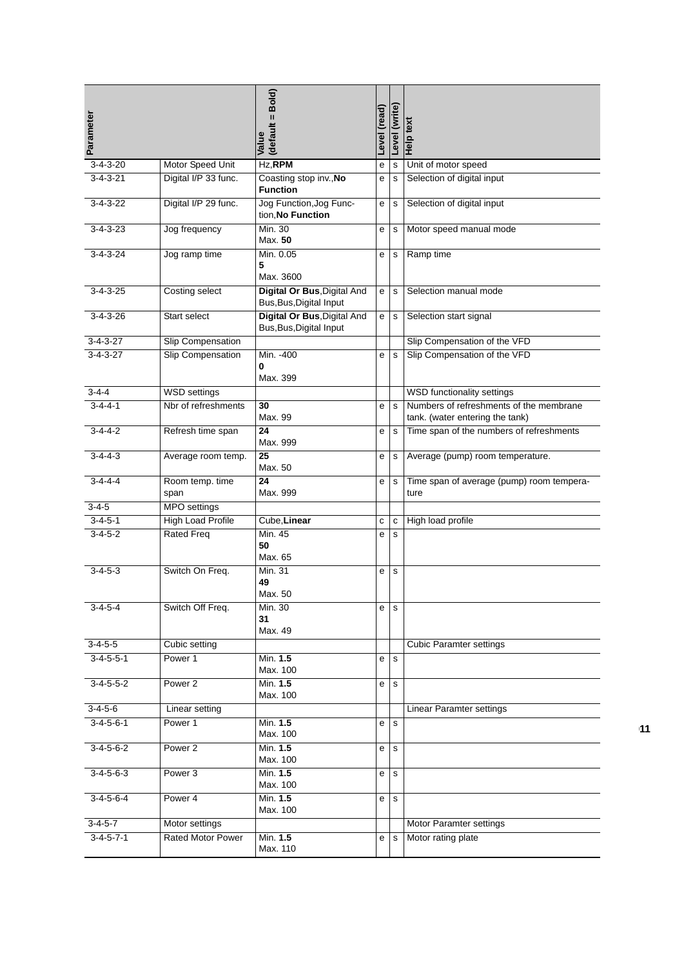| Parameter           |                          | (default = Bold)<br>Value                              | Level (read) | Level (write) | Help text                                                                  |
|---------------------|--------------------------|--------------------------------------------------------|--------------|---------------|----------------------------------------------------------------------------|
| $3 - 4 - 3 - 20$    | Motor Speed Unit         | Hz, RPM                                                | е            | s             | Unit of motor speed                                                        |
| $3 - 4 - 3 - 21$    | Digital I/P 33 func.     | Coasting stop inv., No<br><b>Function</b>              | е            | $\mathbf s$   | Selection of digital input                                                 |
| $3-4-3-22$          | Digital I/P 29 func.     | Jog Function, Jog Func-<br>tion, No Function           | e            | $\mathbf S$   | Selection of digital input                                                 |
| $3 - 4 - 3 - 23$    | Jog frequency            | Min. 30<br>Max. 50                                     | е            | s             | Motor speed manual mode                                                    |
| $3 - 4 - 3 - 24$    | Jog ramp time            | Min. 0.05<br>5<br>Max. 3600                            | e            | $\mathbf s$   | Ramp time                                                                  |
| $3-4-3-25$          | Costing select           | Digital Or Bus, Digital And<br>Bus, Bus, Digital Input | e            | s             | Selection manual mode                                                      |
| $3 - 4 - 3 - 26$    | Start select             | Digital Or Bus, Digital And<br>Bus, Bus, Digital Input | e            | $\mathbf s$   | Selection start signal                                                     |
| $3 - 4 - 3 - 27$    | Slip Compensation        |                                                        |              |               | Slip Compensation of the VFD                                               |
| $3-4-3-27$          | <b>Slip Compensation</b> | Min. - 400<br>0<br>Max. 399                            | e            | $\mathbf s$   | Slip Compensation of the VFD                                               |
| $3 - 4 - 4$         | <b>WSD</b> settings      |                                                        |              |               | WSD functionality settings                                                 |
| $3 - 4 - 4 - 1$     | Nbr of refreshments      | 30<br>Max. 99                                          | e            | $\mathbf{s}$  | Numbers of refreshments of the membrane<br>tank. (water entering the tank) |
| $3 - 4 - 4 - 2$     | Refresh time span        | $\overline{24}$<br>Max. 999                            | е            | $\mathbf s$   | Time span of the numbers of refreshments                                   |
| $3-4-4-3$           | Average room temp.       | 25<br>Max. 50                                          | е            | s             | Average (pump) room temperature.                                           |
| $3 - 4 - 4 - 4$     | Room temp. time<br>span  | 24<br>Max. 999                                         | е            | $\mathbf s$   | Time span of average (pump) room tempera-<br>ture                          |
| $3 - 4 - 5$         | <b>MPO</b> settings      |                                                        |              |               |                                                                            |
| $3 - 4 - 5 - 1$     | High Load Profile        | Cube, Linear                                           | с            | C             | High load profile                                                          |
| $3 - 4 - 5 - 2$     | <b>Rated Freq</b>        | Min. 45<br>50<br>Max. 65                               | е            | $\mathbf s$   |                                                                            |
| $3 - 4 - 5 - 3$     | Switch On Freq.          | Min. 31<br>49<br>Max. 50                               | е            | $\mathbf s$   |                                                                            |
| 3-4-5-4             | Switch Off Freq.         | Min. 30<br>31<br>Max. 49                               | е            | s             |                                                                            |
| $3-4-5-5$           | Cubic setting            |                                                        |              |               | <b>Cubic Paramter settings</b>                                             |
| $3-4-5-5-1$         | Power 1                  | Min. 1.5<br>Max. 100                                   | e            | $\mathbf s$   |                                                                            |
| $3 - 4 - 5 - 5 - 2$ | Power 2                  | Min. 1.5<br>Max. 100                                   | е            | s             |                                                                            |
| $3-4-5-6$           | <b>Linear setting</b>    |                                                        |              |               | Linear Paramter settings                                                   |
| $3 - 4 - 5 - 6 - 1$ | Power 1                  | Min. 1.5<br>Max. 100                                   | e            | $\mathbf s$   |                                                                            |
| $3-4-5-6-2$         | Power 2                  | Min. 1.5<br>Max. 100                                   | e            | $\mathbf s$   |                                                                            |
| $3 - 4 - 5 - 6 - 3$ | Power <sub>3</sub>       | Min. 1.5<br>Max. 100                                   | е            | s             |                                                                            |
| $3-4-5-6-4$         | Power 4                  | Min. 1.5<br>Max. 100                                   | e            | $\mathbf s$   |                                                                            |
| $3-4-5-7$           | Motor settings           |                                                        |              |               | Motor Paramter settings                                                    |
| $3-4-5-7-1$         | Rated Motor Power        | Min. 1.5<br>Max. 110                                   | e            | ${\tt S}$     | Motor rating plate                                                         |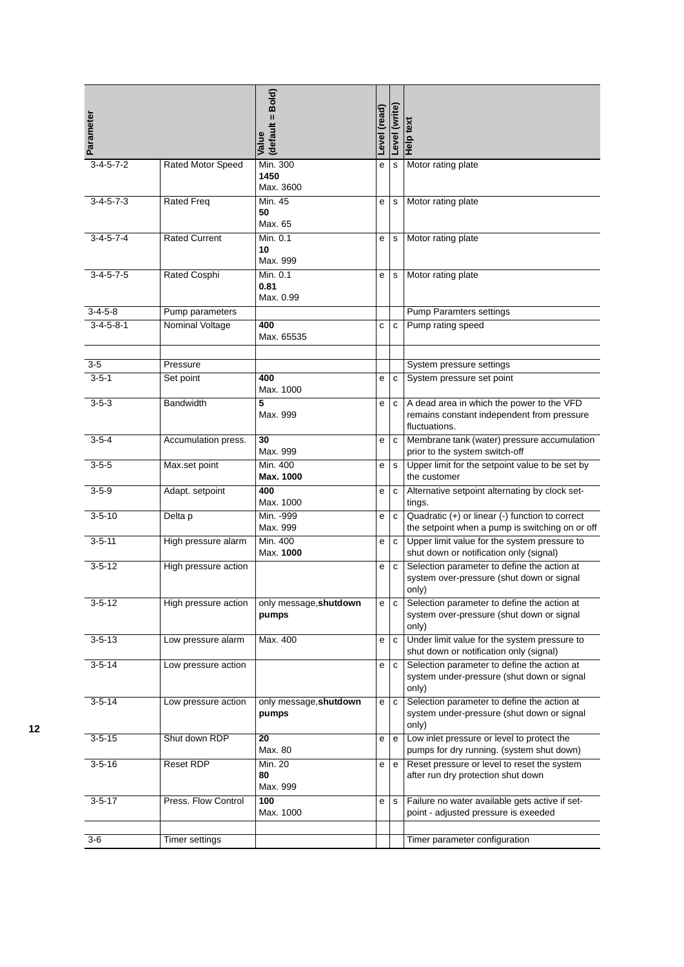| Parameter            |                          | (default = Bold)<br>Value        | Level (read) | Level (write) | Help text                                                                                                |
|----------------------|--------------------------|----------------------------------|--------------|---------------|----------------------------------------------------------------------------------------------------------|
| $3-4-5-7-2$          | <b>Rated Motor Speed</b> | Min. 300<br>1450<br>Max. 3600    | е            | $\mathbf S$   | Motor rating plate                                                                                       |
| $3 - 4 - 5 - 7 - 3$  | <b>Rated Freq</b>        | Min. 45<br>50<br>Max. 65         | е            | s             | Motor rating plate                                                                                       |
| $3-4-5-7-4$          | <b>Rated Current</b>     | Min. 0.1<br>10<br>Max. 999       | e            | s             | Motor rating plate                                                                                       |
| $3 - 4 - 5 - 7 - 5$  | Rated Cosphi             | Min. 0.1<br>0.81<br>Max. 0.99    | е            | $\mathbf S$   | Motor rating plate                                                                                       |
| $3-4-5-8$            | Pump parameters          |                                  |              |               | <b>Pump Paramters settings</b>                                                                           |
| $3 - 4 - 5 - 8 - 1$  | <b>Nominal Voltage</b>   | 400<br>Max. 65535                | C            | C             | Pump rating speed                                                                                        |
|                      |                          |                                  |              |               |                                                                                                          |
| $3-5$<br>$3 - 5 - 1$ | Pressure                 | 400                              |              |               | System pressure settings                                                                                 |
|                      | Set point                | Max. 1000                        | е            | C             | System pressure set point                                                                                |
| $3 - 5 - 3$          | <b>Bandwidth</b>         | 5<br>Max. 999                    | е            | c             | A dead area in which the power to the VFD<br>remains constant independent from pressure<br>fluctuations. |
| $3 - 5 - 4$          | Accumulation press.      | 30<br>Max. 999                   | е            | $\mathbf{C}$  | Membrane tank (water) pressure accumulation<br>prior to the system switch-off                            |
| $3 - 5 - 5$          | Max.set point            | Min. 400<br>Max. 1000            | е            | $\mathbf s$   | Upper limit for the setpoint value to be set by<br>the customer                                          |
| $3 - 5 - 9$          | Adapt. setpoint          | 400<br>Max. 1000                 | е            | $\mathbf{C}$  | Alternative setpoint alternating by clock set-<br>tings.                                                 |
| $3 - 5 - 10$         | Delta p                  | Min. - 999<br>Max. 999           | е            | $\mathbf{C}$  | Quadratic (+) or linear (-) function to correct<br>the setpoint when a pump is switching on or off       |
| $3 - 5 - 11$         | High pressure alarm      | Min. 400<br>Max. 1000            | е            | $\mathbf{C}$  | Upper limit value for the system pressure to<br>shut down or notification only (signal)                  |
| $3 - 5 - 12$         | High pressure action     |                                  | е            | $\mathbf{C}$  | Selection parameter to define the action at<br>system over-pressure (shut down or signal<br>only)        |
| $3-5-12$             | High pressure action     | only message, shutdown<br>pumps  | e            | $\mathbf C$   | Selection parameter to define the action at<br>system over-pressure (shut down or signal<br>only)        |
| $3 - 5 - 13$         | Low pressure alarm       | Max. 400                         | е            | c             | Under limit value for the system pressure to<br>shut down or notification only (signal)                  |
| $3 - 5 - 14$         | Low pressure action      |                                  | e            | c             | Selection parameter to define the action at<br>system under-pressure (shut down or signal<br>only)       |
| $3 - 5 - 14$         | Low pressure action      | only message, shutdown<br>pumps  | е            | $\mathbf{C}$  | Selection parameter to define the action at<br>system under-pressure (shut down or signal<br>only)       |
| $3 - 5 - 15$         | Shut down RDP            | 20<br>Max. 80                    | е            | e             | Low inlet pressure or level to protect the<br>pumps for dry running. (system shut down)                  |
| $3 - 5 - 16$         | <b>Reset RDP</b>         | <b>Min. 20</b><br>80<br>Max. 999 | е            | e             | Reset pressure or level to reset the system<br>after run dry protection shut down                        |
| $3 - 5 - 17$         | Press. Flow Control      | 100<br>Max. 1000                 | е            | s             | Failure no water available gets active if set-<br>point - adjusted pressure is exeeded                   |
| 3-6                  | Timer settings           |                                  |              |               | Timer parameter configuration                                                                            |
|                      |                          |                                  |              |               |                                                                                                          |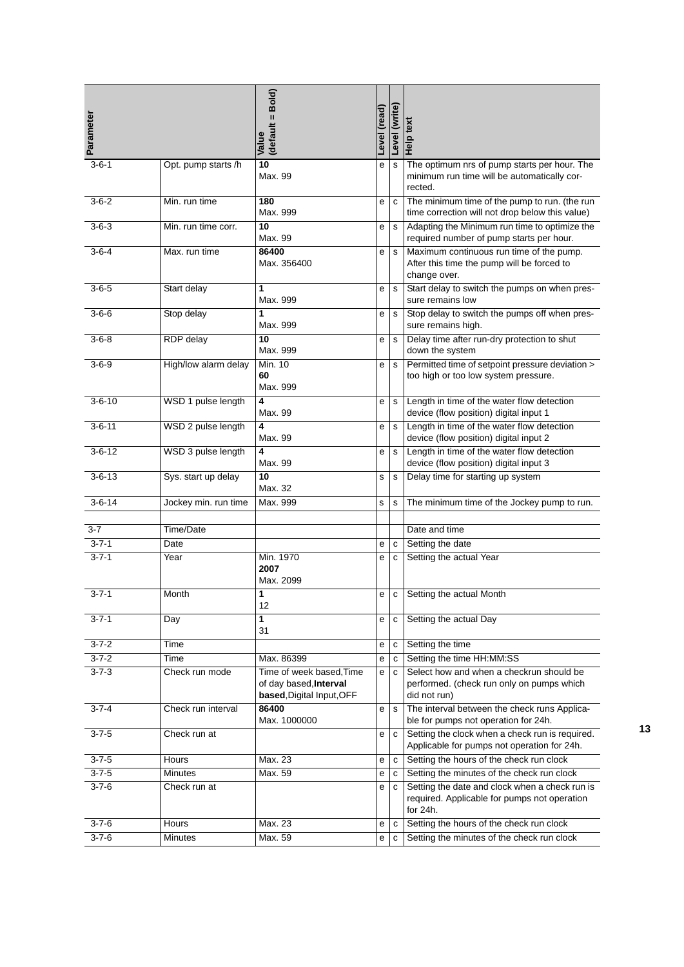| Parameter    |                      | (default = Bold)<br>Value                                                       | Level (read) | Level (write) | Help text                                                                                                  |
|--------------|----------------------|---------------------------------------------------------------------------------|--------------|---------------|------------------------------------------------------------------------------------------------------------|
| $3 - 6 - 1$  | Opt. pump starts /h  | 10<br>Max. 99                                                                   | е            | $\mathbf s$   | The optimum nrs of pump starts per hour. The<br>minimum run time will be automatically cor-<br>rected.     |
| $3 - 6 - 2$  | Min. run time        | 180<br>Max. 999                                                                 | e            | $\mathbf{C}$  | The minimum time of the pump to run. (the run<br>time correction will not drop below this value)           |
| $3 - 6 - 3$  | Min. run time corr.  | 10<br>Max. 99                                                                   | е            | $\mathbf s$   | Adapting the Minimum run time to optimize the<br>required number of pump starts per hour.                  |
| $3 - 6 - 4$  | Max. run time        | 86400<br>Max. 356400                                                            | е            | $\mathbf s$   | Maximum continuous run time of the pump.<br>After this time the pump will be forced to<br>change over.     |
| $3 - 6 - 5$  | Start delay          | 1<br>Max. 999                                                                   | е            | $\mathbf s$   | Start delay to switch the pumps on when pres-<br>sure remains low                                          |
| $3 - 6 - 6$  | Stop delay           | 1<br>Max. 999                                                                   | е            | $\mathbf S$   | Stop delay to switch the pumps off when pres-<br>sure remains high.                                        |
| $3 - 6 - 8$  | <b>RDP</b> delay     | 10<br>Max. 999                                                                  | е            | s             | Delay time after run-dry protection to shut<br>down the system                                             |
| $3 - 6 - 9$  | High/low alarm delay | Min. 10<br>60<br>Max. 999                                                       | е            | $\mathbf s$   | Permitted time of setpoint pressure deviation ><br>too high or too low system pressure.                    |
| $3 - 6 - 10$ | WSD 1 pulse length   | 4<br>Max. 99                                                                    | e            | $\mathbf s$   | Length in time of the water flow detection<br>device (flow position) digital input 1                       |
| $3 - 6 - 11$ | WSD 2 pulse length   | 4<br>Max. 99                                                                    | е            | $\mathbf s$   | Length in time of the water flow detection<br>device (flow position) digital input 2                       |
| $3 - 6 - 12$ | WSD 3 pulse length   | 4<br>Max. 99                                                                    | е            | $\mathbf s$   | Length in time of the water flow detection<br>device (flow position) digital input 3                       |
| $3 - 6 - 13$ | Sys. start up delay  | 10<br>Max. 32                                                                   | s            | s             | Delay time for starting up system                                                                          |
| $3 - 6 - 14$ | Jockey min. run time | Max. 999                                                                        | s            | s             | The minimum time of the Jockey pump to run.                                                                |
| $3 - 7$      | Time/Date            |                                                                                 |              |               | Date and time                                                                                              |
| $3 - 7 - 1$  | Date                 |                                                                                 | е            | с             | Setting the date                                                                                           |
| $3 - 7 - 1$  | Year                 | Min. 1970<br>2007<br>Max. 2099                                                  | е            | $\mathbf{C}$  | Setting the actual Year                                                                                    |
| $3 - 7 - 1$  | Month                | 1<br>12                                                                         | ${\bf e}$    |               | c Setting the actual Month                                                                                 |
| $3 - 7 - 1$  | Day                  | 1<br>31                                                                         | e            | $\mathbf{C}$  | Setting the actual Day                                                                                     |
| $3 - 7 - 2$  | Time                 |                                                                                 | е            | c             | Setting the time                                                                                           |
| $3 - 7 - 2$  | Time                 | Max. 86399                                                                      | е            | C             | Setting the time HH:MM:SS                                                                                  |
| $3 - 7 - 3$  | Check run mode       | Time of week based. Time<br>of day based, Interval<br>based, Digital Input, OFF | e            | C             | Select how and when a checkrun should be<br>performed. (check run only on pumps which<br>did not run)      |
| $3 - 7 - 4$  | Check run interval   | 86400<br>Max. 1000000                                                           | е            | s             | The interval between the check runs Applica-<br>ble for pumps not operation for 24h.                       |
| $3 - 7 - 5$  | Check run at         |                                                                                 | е            | c             | Setting the clock when a check run is required.<br>Applicable for pumps not operation for 24h.             |
| $3 - 7 - 5$  | Hours                | Max. 23                                                                         | e            | с             | Setting the hours of the check run clock                                                                   |
| $3 - 7 - 5$  | <b>Minutes</b>       | Max. 59                                                                         | e            | c             | Setting the minutes of the check run clock                                                                 |
| $3 - 7 - 6$  | Check run at         |                                                                                 | e            | c             | Setting the date and clock when a check run is<br>required. Applicable for pumps not operation<br>for 24h. |
| $3 - 7 - 6$  | Hours                | Max. 23                                                                         | e            | C             | Setting the hours of the check run clock                                                                   |
| $3 - 7 - 6$  | <b>Minutes</b>       | Max. 59                                                                         | е            | C             | Setting the minutes of the check run clock                                                                 |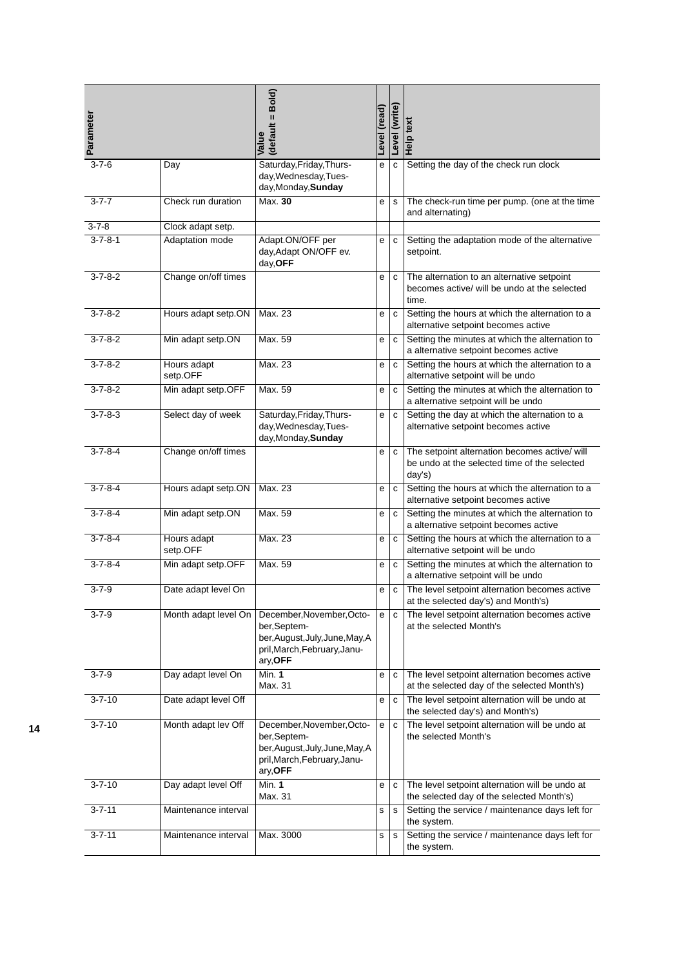| Parameter       |                         | (default = Bold)<br>Value                                                                                               | (read)<br>Level | Level (write) | Help text                                                                                               |
|-----------------|-------------------------|-------------------------------------------------------------------------------------------------------------------------|-----------------|---------------|---------------------------------------------------------------------------------------------------------|
| $3 - 7 - 6$     | Day                     | Saturday, Friday, Thurs-<br>day, Wednesday, Tues-<br>day, Monday, Sunday                                                | е               | $\mathbf{C}$  | Setting the day of the check run clock                                                                  |
| $3 - 7 - 7$     | Check run duration      | Max. 30                                                                                                                 | е               | s             | The check-run time per pump. (one at the time<br>and alternating)                                       |
| $3 - 7 - 8$     | Clock adapt setp.       |                                                                                                                         |                 |               |                                                                                                         |
| $3 - 7 - 8 - 1$ | Adaptation mode         | Adapt.ON/OFF per<br>day, Adapt ON/OFF ev.<br>day, OFF                                                                   | е               | C             | Setting the adaptation mode of the alternative<br>setpoint.                                             |
| $3 - 7 - 8 - 2$ | Change on/off times     |                                                                                                                         | е               | с             | The alternation to an alternative setpoint<br>becomes active/ will be undo at the selected<br>time.     |
| $3 - 7 - 8 - 2$ | Hours adapt setp.ON     | Max. 23                                                                                                                 | е               | $\mathtt{C}$  | Setting the hours at which the alternation to a<br>alternative setpoint becomes active                  |
| $3 - 7 - 8 - 2$ | Min adapt setp.ON       | Max. 59                                                                                                                 | е               | С             | Setting the minutes at which the alternation to<br>a alternative setpoint becomes active                |
| $3 - 7 - 8 - 2$ | Hours adapt<br>setp.OFF | Max. 23                                                                                                                 | е               | C             | Setting the hours at which the alternation to a<br>alternative setpoint will be undo                    |
| $3 - 7 - 8 - 2$ | Min adapt setp.OFF      | Max. 59                                                                                                                 | е               | C             | Setting the minutes at which the alternation to<br>a alternative setpoint will be undo                  |
| $3 - 7 - 8 - 3$ | Select day of week      | Saturday, Friday, Thurs-<br>day, Wednesday, Tues-<br>day, Monday, Sunday                                                | е               | c             | Setting the day at which the alternation to a<br>alternative setpoint becomes active                    |
| $3 - 7 - 8 - 4$ | Change on/off times     |                                                                                                                         | e               | C             | The setpoint alternation becomes active/ will<br>be undo at the selected time of the selected<br>day's) |
| $3 - 7 - 8 - 4$ | Hours adapt setp.ON     | Max. 23                                                                                                                 | е               | C             | Setting the hours at which the alternation to a<br>alternative setpoint becomes active                  |
| $3 - 7 - 8 - 4$ | Min adapt setp.ON       | Max. 59                                                                                                                 | е               | C             | Setting the minutes at which the alternation to<br>a alternative setpoint becomes active                |
| $3 - 7 - 8 - 4$ | Hours adapt<br>setp.OFF | Max. 23                                                                                                                 | е               | C             | Setting the hours at which the alternation to a<br>alternative setpoint will be undo                    |
| $3 - 7 - 8 - 4$ | Min adapt setp.OFF      | Max. 59                                                                                                                 | е               | C             | Setting the minutes at which the alternation to<br>a alternative setpoint will be undo                  |
| $3 - 7 - 9$     | Date adapt level On     |                                                                                                                         | е               | C             | The level setpoint alternation becomes active<br>at the selected day's) and Month's)                    |
| $3 - 7 - 9$     | Month adapt level On    | December, November, Octo-<br>ber,Septem-<br>ber, August, July, June, May, A<br>pril, March, February, Janu-<br>ary, OFF | e               | c             | The level setpoint alternation becomes active<br>at the selected Month's                                |
| $3 - 7 - 9$     | Day adapt level On      | Min. 1<br>Max. 31                                                                                                       | е               | с             | The level setpoint alternation becomes active<br>at the selected day of the selected Month's)           |
| $3 - 7 - 10$    | Date adapt level Off    |                                                                                                                         | е               | C             | The level setpoint alternation will be undo at<br>the selected day's) and Month's)                      |
| $3 - 7 - 10$    | Month adapt lev Off     | December, November, Octo-<br>ber,Septem-<br>ber, August, July, June, May, A<br>pril, March, February, Janu-<br>ary, OFF | е               | c             | The level setpoint alternation will be undo at<br>the selected Month's                                  |
| $3 - 7 - 10$    | Day adapt level Off     | Min. 1<br>Max. 31                                                                                                       | е               | с             | The level setpoint alternation will be undo at<br>the selected day of the selected Month's)             |
| $3 - 7 - 11$    | Maintenance interval    |                                                                                                                         | s               | s             | Setting the service / maintenance days left for<br>the system.                                          |
| $3 - 7 - 11$    | Maintenance interval    | Max. 3000                                                                                                               | s               | s             | Setting the service / maintenance days left for<br>the system.                                          |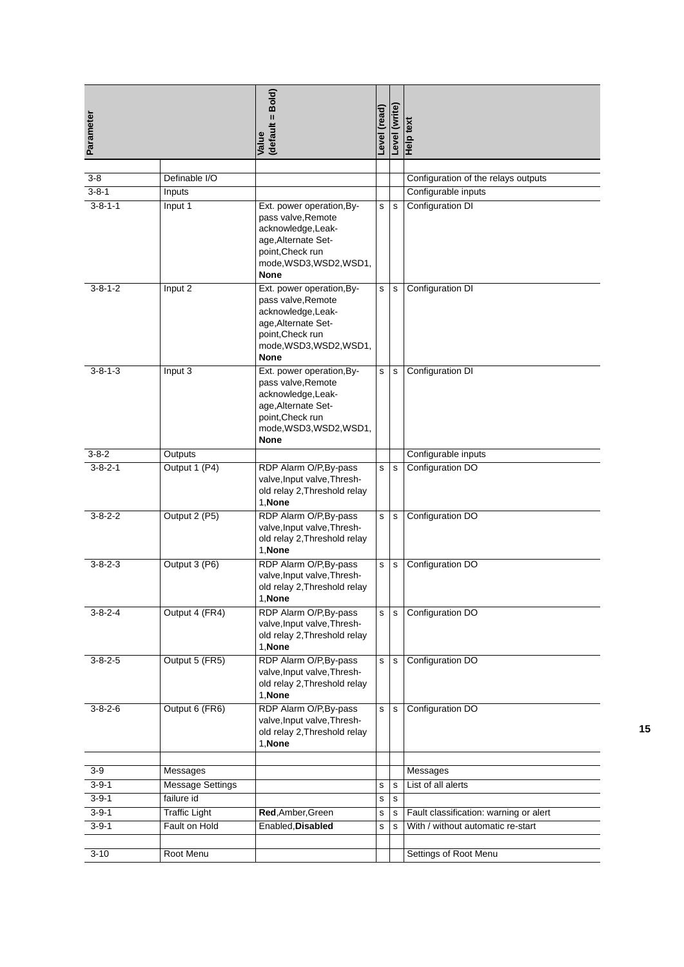| Parameter       |                         | (default = Bold)<br>Value                                                                                                                                  | Level (read) | Level (write) | Help text                                      |
|-----------------|-------------------------|------------------------------------------------------------------------------------------------------------------------------------------------------------|--------------|---------------|------------------------------------------------|
| $3-8$           | Definable I/O           |                                                                                                                                                            |              |               |                                                |
| $3 - 8 - 1$     |                         |                                                                                                                                                            |              |               | Configuration of the relays outputs            |
| $3 - 8 - 1 - 1$ | Inputs<br>Input 1       | Ext. power operation, By-                                                                                                                                  | s            | $\mathbf s$   | Configurable inputs<br><b>Configuration DI</b> |
|                 |                         | pass valve, Remote<br>acknowledge, Leak-<br>age, Alternate Set-<br>point, Check run<br>mode, WSD3, WSD2, WSD1,<br>None                                     |              |               |                                                |
| $3 - 8 - 1 - 2$ | Input 2                 | Ext. power operation, By-<br>pass valve, Remote<br>acknowledge, Leak-<br>age, Alternate Set-<br>point, Check run<br>mode, WSD3, WSD2, WSD1,<br><b>None</b> | s            | $\mathbf s$   | <b>Configuration DI</b>                        |
| $3 - 8 - 1 - 3$ | Input 3                 | Ext. power operation, By-<br>pass valve, Remote<br>acknowledge, Leak-<br>age, Alternate Set-<br>point, Check run<br>mode, WSD3, WSD2, WSD1,<br><b>None</b> | s            | $\mathbf s$   | <b>Configuration DI</b>                        |
| $3 - 8 - 2$     | Outputs                 |                                                                                                                                                            |              |               | Configurable inputs                            |
| $3 - 8 - 2 - 1$ | Output 1 (P4)           | RDP Alarm O/P, By-pass<br>valve, Input valve, Thresh-<br>old relay 2, Threshold relay<br>1, None                                                           | s            | $\mathbf s$   | Configuration DO                               |
| $3 - 8 - 2 - 2$ | Output 2 (P5)           | RDP Alarm O/P, By-pass<br>valve, Input valve, Thresh-<br>old relay 2, Threshold relay<br>1, None                                                           | s            | $\mathbf s$   | Configuration DO                               |
| $3 - 8 - 2 - 3$ | Output 3 (P6)           | RDP Alarm O/P, By-pass<br>valve, Input valve, Thresh-<br>old relay 2, Threshold relay<br>1,None                                                            | s            | $\mathbf s$   | Configuration DO                               |
| $3 - 8 - 2 - 4$ | Output 4 (FR4)          | RDP Alarm O/P, By-pass<br>valve, Input valve, Thresh-<br>old relay 2, Threshold relay<br>1, None                                                           | s            | $\mathbf s$   | Configuration DO                               |
| $3 - 8 - 2 - 5$ | Output 5 (FR5)          | RDP Alarm O/P, By-pass<br>valve, Input valve, Thresh-<br>old relay 2, Threshold relay<br>1, None                                                           | s            | $\mathbf s$   | Configuration DO                               |
| $3 - 8 - 2 - 6$ | Output 6 (FR6)          | RDP Alarm O/P, By-pass<br>valve, Input valve, Thresh-<br>old relay 2, Threshold relay<br>1, None                                                           | s            | $\mathbf s$   | Configuration DO                               |
| $3-9$           | Messages                |                                                                                                                                                            |              |               | Messages                                       |
| $3 - 9 - 1$     | <b>Message Settings</b> |                                                                                                                                                            | $\mathbf s$  | $\mathbf s$   | List of all alerts                             |
| $3 - 9 - 1$     | failure id              |                                                                                                                                                            | s            | $\mathbf s$   |                                                |
| $3 - 9 - 1$     | <b>Traffic Light</b>    | Red, Amber, Green                                                                                                                                          | s            | s             | Fault classification: warning or alert         |
| $3 - 9 - 1$     | Fault on Hold           | Enabled, Disabled                                                                                                                                          | s            | s             | With / without automatic re-start              |
|                 |                         |                                                                                                                                                            |              |               |                                                |
| $3 - 10$        | Root Menu               |                                                                                                                                                            |              |               | Settings of Root Menu                          |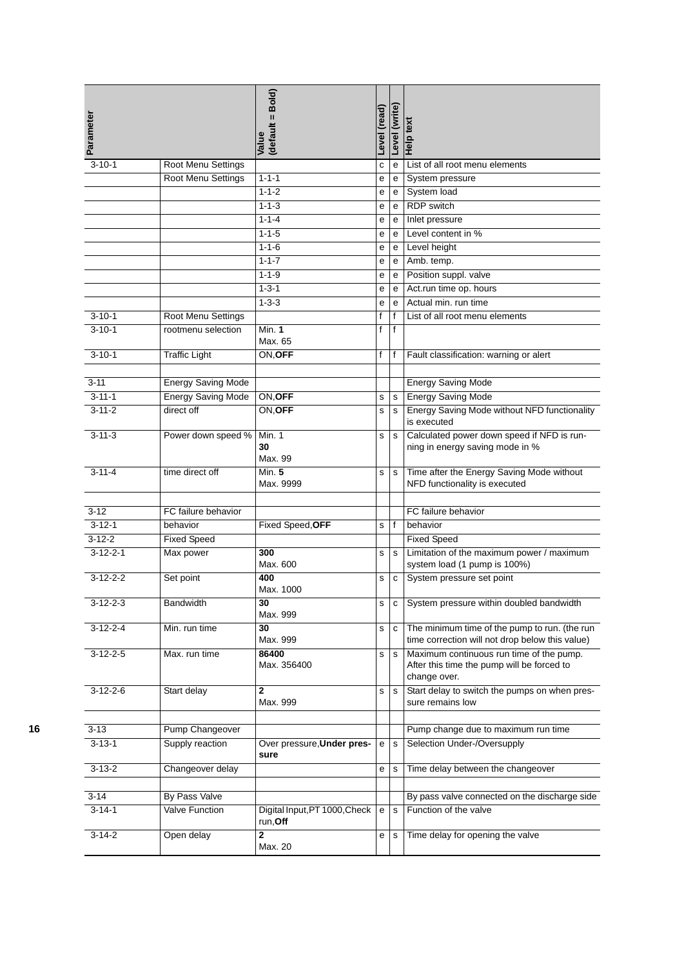| Parameter        |                           | (default = Bold)<br>Value                 | Level (read) | Level (write) | Help text                                                                                              |
|------------------|---------------------------|-------------------------------------------|--------------|---------------|--------------------------------------------------------------------------------------------------------|
| $3 - 10 - 1$     | Root Menu Settings        |                                           | с            | e             | List of all root menu elements                                                                         |
|                  | Root Menu Settings        | $1 - 1 - 1$                               | е            | e             | System pressure                                                                                        |
|                  |                           | $1 - 1 - 2$                               | е            | e             | System load                                                                                            |
|                  |                           | $1 - 1 - 3$                               | е            | e             | <b>RDP</b> switch                                                                                      |
|                  |                           | $1 - 1 - 4$                               | е            | e             | Inlet pressure                                                                                         |
|                  |                           | $1 - 1 - 5$                               | е            | e             | Level content in %                                                                                     |
|                  |                           | $1 - 1 - 6$                               | е            | e             | Level height                                                                                           |
|                  |                           | $1 - 1 - 7$                               | е            | е             | Amb. temp.                                                                                             |
|                  |                           | $1 - 1 - 9$                               | е            | e             | Position suppl. valve                                                                                  |
|                  |                           | $1 - 3 - 1$                               | е            | e             | Act.run time op. hours                                                                                 |
|                  |                           | $1 - 3 - 3$                               | е            | e             | Actual min. run time                                                                                   |
| $3 - 10 - 1$     | Root Menu Settings        |                                           | f            | f             | List of all root menu elements                                                                         |
| $3 - 10 - 1$     | rootmenu selection        | Min. $1$                                  | f            | $\mathsf{f}$  |                                                                                                        |
|                  |                           | Max. 65                                   |              |               |                                                                                                        |
| $3 - 10 - 1$     | <b>Traffic Light</b>      | ON, OFF                                   | f            | f             | Fault classification: warning or alert                                                                 |
|                  |                           |                                           |              |               |                                                                                                        |
| $3 - 11$         | <b>Energy Saving Mode</b> |                                           |              |               | <b>Energy Saving Mode</b>                                                                              |
| $3 - 11 - 1$     | <b>Energy Saving Mode</b> | ON, OFF                                   | s            | s             | <b>Energy Saving Mode</b>                                                                              |
| $3 - 11 - 2$     | direct off                | ON, OFF                                   | s            | s             | Energy Saving Mode without NFD functionality                                                           |
|                  |                           |                                           |              |               | is executed                                                                                            |
| $3 - 11 - 3$     | Power down speed %        | Min. 1<br>30<br>Max. 99                   | s            | s             | Calculated power down speed if NFD is run-<br>ning in energy saving mode in %                          |
| $3 - 11 - 4$     | time direct off           | Min. 5<br>Max. 9999                       | s            | $\mathbf s$   | Time after the Energy Saving Mode without<br>NFD functionality is executed                             |
|                  |                           |                                           |              |               |                                                                                                        |
| $3-12$           | FC failure behavior       |                                           |              |               | FC failure behavior                                                                                    |
| $3 - 12 - 1$     | behavior                  | Fixed Speed, OFF                          | s            | f             | behavior                                                                                               |
| $3 - 12 - 2$     | <b>Fixed Speed</b>        |                                           |              |               | <b>Fixed Speed</b>                                                                                     |
| $3 - 12 - 2 - 1$ | Max power                 | 300<br>Max. 600                           | s            | s             | Limitation of the maximum power / maximum<br>system load (1 pump is 100%)                              |
| $3 - 12 - 2 - 2$ | Set point                 | 400<br>Max. 1000                          | s            | ${\bf c}$     | System pressure set point                                                                              |
| $3-12-2-3$       | <b>Bandwidth</b>          | 30<br>Max. 999                            | s            | с             | System pressure within doubled bandwidth                                                               |
| $3-12-2-4$       | Min. run time             | 30<br>Max. 999                            | s            | с             | The minimum time of the pump to run. (the run<br>time correction will not drop below this value)       |
| $3-12-2-5$       | Max. run time             | 86400<br>Max. 356400                      | s            | s             | Maximum continuous run time of the pump.<br>After this time the pump will be forced to<br>change over. |
| $3-12-2-6$       | Start delay               | $\overline{2}$<br>Max. 999                | s            | $\mathbf s$   | Start delay to switch the pumps on when pres-<br>sure remains low                                      |
|                  |                           |                                           |              |               |                                                                                                        |
| $3 - 13$         | Pump Changeover           |                                           |              |               | Pump change due to maximum run time                                                                    |
| $3 - 13 - 1$     | Supply reaction           | Over pressure, Under pres-<br>sure        | e            | s             | Selection Under-/Oversupply                                                                            |
| $3 - 13 - 2$     | Changeover delay          |                                           | е            | s             | Time delay between the changeover                                                                      |
|                  |                           |                                           |              |               |                                                                                                        |
| $3 - 14$         | By Pass Valve             |                                           |              |               | By pass valve connected on the discharge side                                                          |
| $3 - 14 - 1$     | <b>Valve Function</b>     | Digital Input, PT 1000, Check<br>run, Off | e            | $\mathbf{s}$  | Function of the valve                                                                                  |
| $3 - 14 - 2$     | Open delay                | 2<br>Max. 20                              | е            | s             | Time delay for opening the valve                                                                       |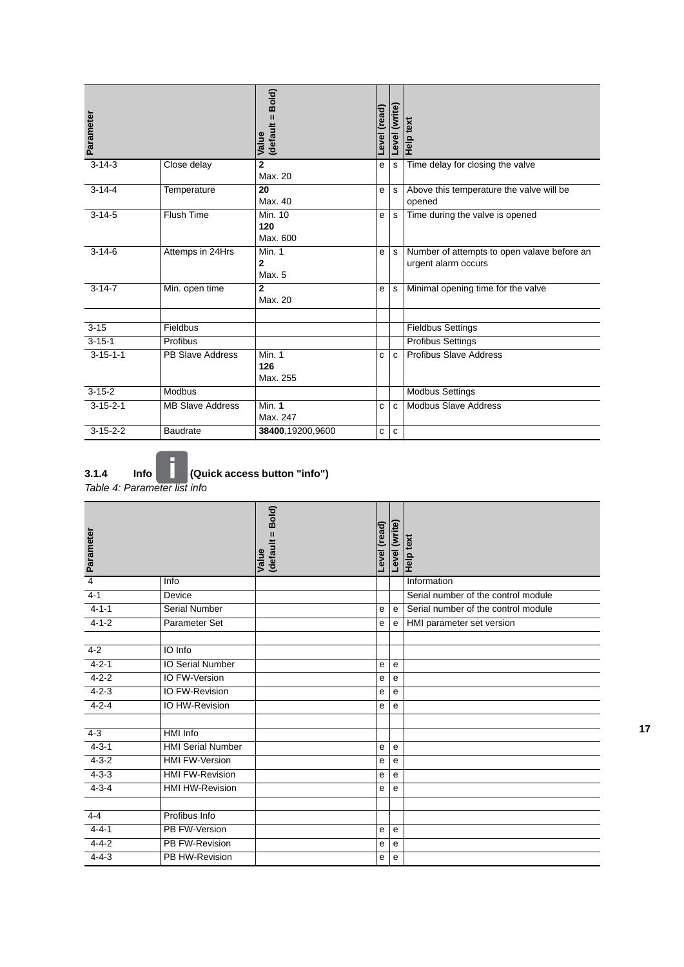| Parameter        |                         | Bold)<br>$\mathbf{I}$<br>(default<br>Value | (read)<br><b>Level</b> | Level (write) | Help text                                                          |
|------------------|-------------------------|--------------------------------------------|------------------------|---------------|--------------------------------------------------------------------|
| $3 - 14 - 3$     | Close delay             | $\mathbf{2}$<br>Max. 20                    | е                      | s             | Time delay for closing the valve                                   |
| $3 - 14 - 4$     | Temperature             | 20<br>Max. 40                              | e                      | $\mathbf s$   | Above this temperature the valve will be<br>opened                 |
| $3 - 14 - 5$     | <b>Flush Time</b>       | Min. 10<br>120<br>Max. 600                 | e                      | s             | Time during the valve is opened                                    |
| $3 - 14 - 6$     | Attemps in 24Hrs        | <b>Min. 1</b><br>$\overline{2}$<br>Max. 5  | e                      | s             | Number of attempts to open valave before an<br>urgent alarm occurs |
| $3 - 14 - 7$     | Min. open time          | $\overline{2}$<br>Max. 20                  | e                      | s             | Minimal opening time for the valve                                 |
| $3 - 15$         | Fieldbus                |                                            |                        |               | <b>Fieldbus Settings</b>                                           |
| $3 - 15 - 1$     | Profibus                |                                            |                        |               | <b>Profibus Settings</b>                                           |
| $3 - 15 - 1 - 1$ | <b>PB Slave Address</b> | Min. 1<br>126<br>Max. 255                  | c                      | $\mathbf{C}$  | <b>Profibus Slave Address</b>                                      |
| $3-15-2$         | <b>Modbus</b>           |                                            |                        |               | <b>Modbus Settings</b>                                             |
| $3 - 15 - 2 - 1$ | <b>MB Slave Address</b> | <b>Min. 1</b><br>Max. 247                  | c                      | C             | <b>Modbus Slave Address</b>                                        |
| $3 - 15 - 2 - 2$ | <b>Baudrate</b>         | 38400,19200,9600                           | C                      | $\mathbf{C}$  |                                                                    |

**3.1.4 Info (Quick access button "info")**

*Table 4: Parameter list info*

| Parameter      |                          | Bold)<br>$\mathbf{u}$<br>(default :<br>Value | Level (read) | Level (write) | Help text                           |
|----------------|--------------------------|----------------------------------------------|--------------|---------------|-------------------------------------|
| $\overline{4}$ | Info                     |                                              |              |               | Information                         |
| $4 - 1$        | Device                   |                                              |              |               | Serial number of the control module |
| $4 - 1 - 1$    | Serial Number            |                                              | ${\bf e}$    | $\mathsf{e}$  | Serial number of the control module |
| $4 - 1 - 2$    | Parameter Set            |                                              | e            | e             | HMI parameter set version           |
|                |                          |                                              |              |               |                                     |
| $4 - 2$        | IO Info                  |                                              |              |               |                                     |
| $4 - 2 - 1$    | <b>IO Serial Number</b>  |                                              | ${\bf e}$    | $\mathbf e$   |                                     |
| $4 - 2 - 2$    | IO FW-Version            |                                              | e            | $\mathbf e$   |                                     |
| $4 - 2 - 3$    | <b>IO FW-Revision</b>    |                                              | е            | e             |                                     |
| $4 - 2 - 4$    | <b>IO HW-Revision</b>    |                                              | e            | $\mathsf{e}$  |                                     |
|                |                          |                                              |              |               |                                     |
| $4 - 3$        | <b>HMI</b> Info          |                                              |              |               |                                     |
| $4 - 3 - 1$    | <b>HMI Serial Number</b> |                                              | e            | $\mathbf e$   |                                     |
| $4 - 3 - 2$    | <b>HMI FW-Version</b>    |                                              | е            | $\mathbf e$   |                                     |
| $4 - 3 - 3$    | <b>HMI FW-Revision</b>   |                                              | e            | e             |                                     |
| $4 - 3 - 4$    | <b>HMI HW-Revision</b>   |                                              | e            | $\mathbf{e}$  |                                     |
|                |                          |                                              |              |               |                                     |
| $4 - 4$        | Profibus Info            |                                              |              |               |                                     |
| $4 - 4 - 1$    | PB FW-Version            |                                              | e            | e             |                                     |
| $4 - 4 - 2$    | <b>PB FW-Revision</b>    |                                              | e            | $\mathbf e$   |                                     |
| $4 - 4 - 3$    | PB HW-Revision           |                                              | е            | e             |                                     |

0**17**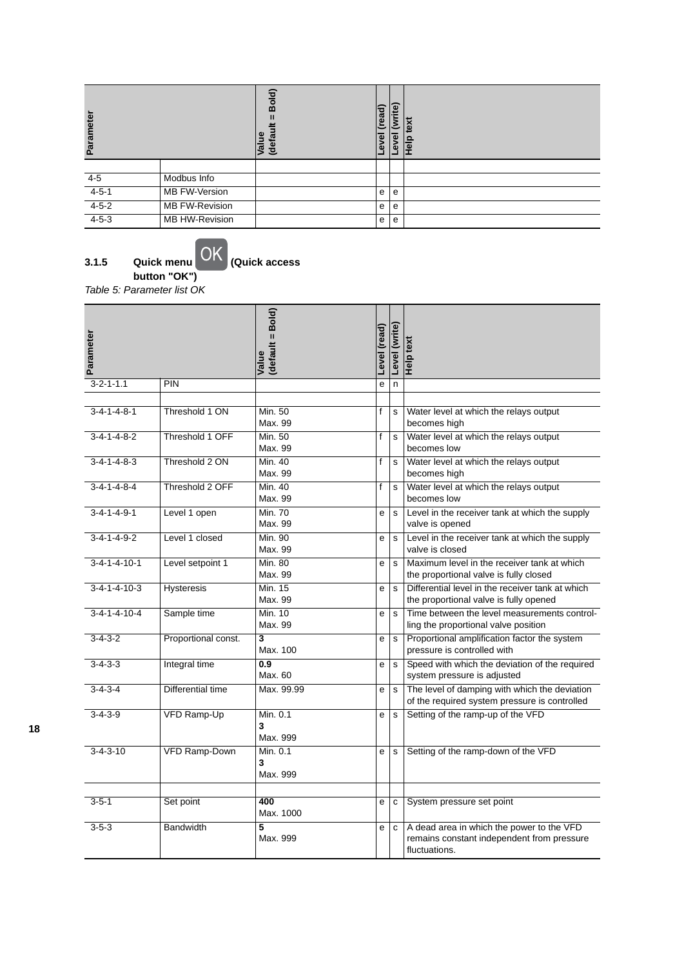| Parameter   |                       | old)<br>m<br>ω<br>(defa<br>ಕ | read)<br>ͽ<br>ω | ite<br>ŠΪ<br>$\overline{\mathbf{v}}$<br>ω | ext<br>Ω<br>≗ |
|-------------|-----------------------|------------------------------|-----------------|-------------------------------------------|---------------|
|             |                       |                              |                 |                                           |               |
| $4 - 5$     | Modbus Info           |                              |                 |                                           |               |
| $4 - 5 - 1$ | MB FW-Version         |                              | e               | e                                         |               |
| $4 - 5 - 2$ | <b>MB FW-Revision</b> |                              | e               | e                                         |               |
| $4 - 5 - 3$ | MB HW-Revision        |                              | e               | e                                         |               |

**<sup>3.1.5</sup> Quick menu (Quick access**  Quick menu<br>button "OK")

*Table 5: Parameter list OK*

| Parameter                |                      | (default = Bold)<br>Value           | Level (read) | Level (write) | <b>Help text</b>                                                                                         |
|--------------------------|----------------------|-------------------------------------|--------------|---------------|----------------------------------------------------------------------------------------------------------|
| $3 - 2 - 1 - 1.1$        | PIN                  |                                     | e            | n             |                                                                                                          |
|                          |                      |                                     |              |               |                                                                                                          |
| $3 - 4 - 1 - 4 - 8 - 1$  | Threshold 1 ON       | Min. 50<br>Max. 99                  | f            | s             | Water level at which the relays output<br>becomes high                                                   |
| $3 - 4 - 1 - 4 - 8 - 2$  | Threshold 1 OFF      | Min. 50<br>Max. 99                  | f            | s             | Water level at which the relays output<br>becomes low                                                    |
| $3 - 4 - 1 - 4 - 8 - 3$  | Threshold 2 ON       | Min. 40<br>Max. 99                  | f            | s             | Water level at which the relays output<br>becomes high                                                   |
| $3-4-1-4-8-4$            | Threshold 2 OFF      | Min.40<br>Max. 99                   | f            | s             | Water level at which the relays output<br>becomes low                                                    |
| $3 - 4 - 1 - 4 - 9 - 1$  | Level 1 open         | Min. 70<br>Max. 99                  | e            | $\mathbf{s}$  | Level in the receiver tank at which the supply<br>valve is opened                                        |
| $3 - 4 - 1 - 4 - 9 - 2$  | Level 1 closed       | Min. 90<br>Max. 99                  | e            | $\mathbf{s}$  | Level in the receiver tank at which the supply<br>valve is closed                                        |
| $3 - 4 - 1 - 4 - 10 - 1$ | Level setpoint 1     | <b>Min. 80</b><br>Max. 99           | e            | s             | Maximum level in the receiver tank at which<br>the proportional valve is fully closed                    |
| $3 - 4 - 1 - 4 - 10 - 3$ | <b>Hysteresis</b>    | <b>Min. 15</b><br>Max. 99           | е            | s             | Differential level in the receiver tank at which<br>the proportional valve is fully opened               |
| $3 - 4 - 1 - 4 - 10 - 4$ | Sample time          | Min. 10<br>Max. 99                  | е            | s             | Time between the level measurements control-<br>ling the proportional valve position                     |
| $3-4-3-2$                | Proportional const.  | $\overline{\mathbf{3}}$<br>Max. 100 | e            | $\mathbf{s}$  | Proportional amplification factor the system<br>pressure is controlled with                              |
| $3 - 4 - 3 - 3$          | Integral time        | 0.9<br>Max. 60                      | e            | s             | Speed with which the deviation of the required<br>system pressure is adjusted                            |
| $3 - 4 - 3 - 4$          | Differential time    | Max. 99.99                          | e            | $\mathbf{s}$  | The level of damping with which the deviation<br>of the required system pressure is controlled           |
| $3 - 4 - 3 - 9$          | <b>VFD Ramp-Up</b>   | Min. 0.1<br>3<br>Max. 999           | e            | $\mathbf s$   | Setting of the ramp-up of the VFD                                                                        |
| $3 - 4 - 3 - 10$         | <b>VFD Ramp-Down</b> | Min. 0.1<br>3<br>Max. 999           | e            | s             | Setting of the ramp-down of the VFD                                                                      |
| $3 - 5 - 1$              | Set point            | 400                                 | e            | C             | System pressure set point                                                                                |
|                          |                      | Max. 1000                           |              |               |                                                                                                          |
| $3 - 5 - 3$              | <b>Bandwidth</b>     | 5<br>Max. 999                       | е            | C             | A dead area in which the power to the VFD<br>remains constant independent from pressure<br>fluctuations. |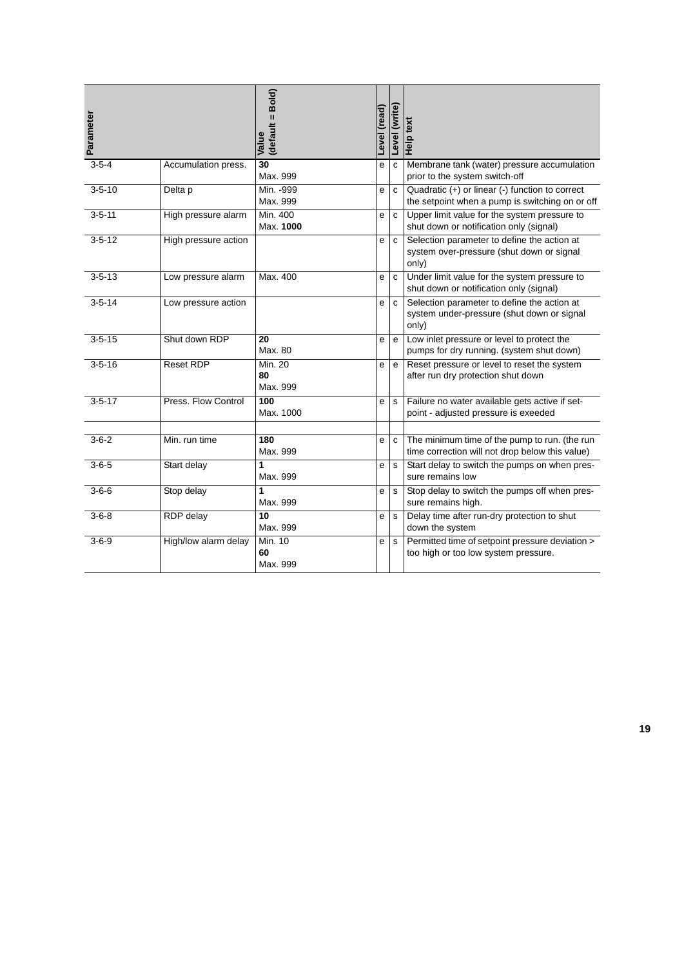| Parameter    |                      | (default = Bold)<br>Value        | Level (read) | Level (write)  | Help text                                                                                          |
|--------------|----------------------|----------------------------------|--------------|----------------|----------------------------------------------------------------------------------------------------|
| $3 - 5 - 4$  | Accumulation press.  | $\overline{30}$<br>Max. 999      | e            | $\overline{c}$ | Membrane tank (water) pressure accumulation<br>prior to the system switch-off                      |
| $3 - 5 - 10$ | Delta p              | Min. - 999<br>Max. 999           | е            | $\mathbf c$    | Quadratic (+) or linear (-) function to correct<br>the setpoint when a pump is switching on or off |
| $3 - 5 - 11$ | High pressure alarm  | Min. 400<br>Max. 1000            | е            | c              | Upper limit value for the system pressure to<br>shut down or notification only (signal)            |
| $3 - 5 - 12$ | High pressure action |                                  | e            | C              | Selection parameter to define the action at<br>system over-pressure (shut down or signal<br>only)  |
| $3 - 5 - 13$ | Low pressure alarm   | Max. 400                         | e            | $\mathbf c$    | Under limit value for the system pressure to<br>shut down or notification only (signal)            |
| $3 - 5 - 14$ | Low pressure action  |                                  | e            | C              | Selection parameter to define the action at<br>system under-pressure (shut down or signal<br>only) |
| $3 - 5 - 15$ | Shut down RDP        | 20<br>Max. 80                    | е            | e              | Low inlet pressure or level to protect the<br>pumps for dry running. (system shut down)            |
| $3 - 5 - 16$ | <b>Reset RDP</b>     | <b>Min. 20</b><br>80<br>Max. 999 | e            | $\mathsf{e}$   | Reset pressure or level to reset the system<br>after run dry protection shut down                  |
| $3 - 5 - 17$ | Press. Flow Control  | 100<br>Max. 1000                 | e            | $\mathbf s$    | Failure no water available gets active if set-<br>point - adjusted pressure is exeeded             |
| $3-6-2$      | Min. run time        | 180<br>Max. 999                  | e            | c              | The minimum time of the pump to run. (the run<br>time correction will not drop below this value)   |
| $3 - 6 - 5$  | Start delay          | 1<br>Max. 999                    | e            | s              | Start delay to switch the pumps on when pres-<br>sure remains low                                  |
| $3 - 6 - 6$  | Stop delay           | 1<br>Max. 999                    | е            | s              | Stop delay to switch the pumps off when pres-<br>sure remains high.                                |
| $3 - 6 - 8$  | RDP delay            | 10<br>Max. 999                   | е            | $\sf s$        | Delay time after run-dry protection to shut<br>down the system                                     |
| $3 - 6 - 9$  | High/low alarm delay | Min. 10<br>60<br>Max. 999        | е            | s              | Permitted time of setpoint pressure deviation ><br>too high or too low system pressure.            |